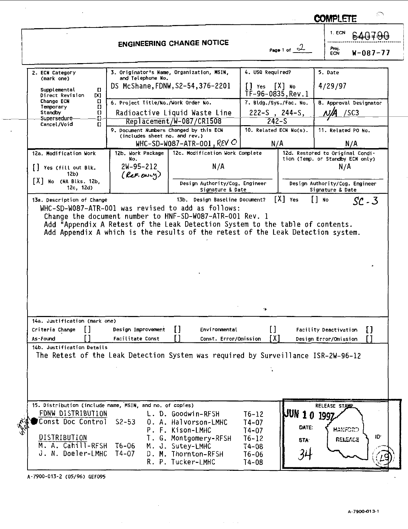|                                                                         |                                                                          |                                                                                   |                                               |                                              | 1. ECN                                                                      |
|-------------------------------------------------------------------------|--------------------------------------------------------------------------|-----------------------------------------------------------------------------------|-----------------------------------------------|----------------------------------------------|-----------------------------------------------------------------------------|
|                                                                         |                                                                          | <b>ENGINEERING CHANGE NOTICE</b>                                                  |                                               | Page 1 of $\sim$<br>Proj.<br>ECN<br>W-087-77 |                                                                             |
| 2. ECN Category                                                         |                                                                          | 3. Originator's Name, Organization, MSIN,                                         | 4. USQ Required?                              |                                              | 5. Date                                                                     |
| (mark one)<br>Supplemental<br>Π<br>Direct Revision<br>DO <sub>1</sub>   | and Telephone No.                                                        | DS McShane, FDNW, S2-54, 376-2201                                                 | $[$ $]$ Yes $[X]$ No<br>TF-96-0835.Rev.1      |                                              | 4/29/97                                                                     |
| Change ECN<br>Π<br>ö<br>Temporary<br>Standby<br>O.                      | 6. Project Title/No./Work Order No.                                      | Radioactive Liquid Waste Line                                                     | 7. Bldg./Sys./Fac. No.<br>$222-S$ , $244-S$ . |                                              | 8. Approval Designator<br>/SC3                                              |
| Supersedure<br>o<br>Cancel/Void<br>$\mathbf{C}$                         | 9. Document Numbers Changed by this ECN<br>(includes sheet no. and rev.) | Replacement/W-087/CR1508                                                          | $242 - S$<br>10. Related ECN No(s).           |                                              | 11. Related PO No.                                                          |
|                                                                         |                                                                          | WHC-SD-W087-ATR-001, REV O                                                        | N/A                                           |                                              | N/A                                                                         |
| 12a. Modification Work<br>    Yes (fill out Blk.                        | 12b. Work Package<br>No.<br>2W-95-212                                    | 12c. Modification Work Complete<br>N/A                                            |                                               |                                              | 12d. Restored to Original Condi-<br>tion (Temp. or Standby ECN only)<br>N/A |
| 12b)<br>[X] No (NA Blks. 12b,<br>12c, 12d)                              | $(\ell e r. \omega - \gamma)$                                            | Design Authority/Cog. Engineer<br>Signature & Date                                |                                               |                                              | Design Authority/Cog. Engineer<br>Signature & Date                          |
| Change the document number to HNF-SD-W087-ATR-001 Rev. 1                |                                                                          | Add "Appendix A Retest of the Leak Detection System to the table of contents.     |                                               |                                              |                                                                             |
|                                                                         |                                                                          | Add Appendix A which is the results of the retest of the Leak Detection system.   |                                               |                                              |                                                                             |
|                                                                         |                                                                          |                                                                                   |                                               |                                              |                                                                             |
| 14a. Justification (mark one)<br>Criteria Change<br>$\perp$<br>As-Found | Design Improvement<br>Facilitate Const                                   | П<br>Environmental<br>Г<br>Const. Error/Omission                                  | H<br>[X]                                      |                                              | IJ<br>Facility Deactivation<br>٢ı<br>Design Error/Omission                  |
| 14b. Justification Details                                              |                                                                          | The Retest of the Leak Detection System was required by Surveillance ISR-2W-96-12 |                                               |                                              |                                                                             |

 $\bar{z}$ 

 $\bar{z}$ 

COMPLETE

 $\mathbb{R}^2$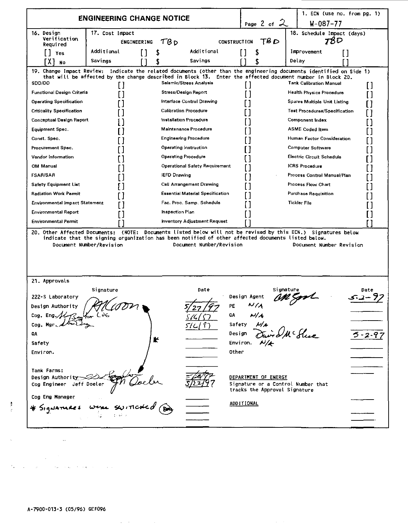| <b>ENGINEERING CHANGE NOTICE</b><br>Page 2 of $\lambda$<br>$W - 087 - 77$<br>16. Design<br>18. Schedule Impact (days)<br>17. Cost Impact<br>Verification<br>TBD<br>TB D<br><b>CONSTRUCTION</b><br>78 D<br>ENGINEERING<br>Required<br>Additional<br>Additional<br>Improvement<br>\$<br>[ ]<br>ll Yes<br>ſ1<br>Savings<br>Savings<br>Delav<br>FX 1<br>No<br>19. Change Impact Review: Indicate the related documents (other than the engineering documents identified on Side 1)<br>that will be affected by the change described in Block 13. Enter the affected document number in Block 20.<br>SDD/DD<br>Seismic/Stress Analysis<br><b>Tank Calibration Manual</b><br>I 1<br>$\mathsf{I}$<br>ſ1<br>Functional Design Criteria<br><b>Stress/Design Report</b><br><b>Health Physics Procedure</b><br>ו ז<br>П<br>[ ]<br><b>Operating Specification</b><br>Interface Control Drawing<br>Spares Multiple Unit Listing<br><b>Calibration Procedure</b><br><b>Criticality Specification</b><br><b>Test Procedures/Specification</b><br>1<br>Conceptual Design Report<br><b>Installation Procedure</b><br>Component Index<br>Maintenance Procedure<br><b>ASME Coded Itom</b><br>Equipment Spec.<br>Const. Spec.<br><b>Engineering Procedure</b><br>Human Factor Consideration<br>Procurement Spac.<br>Operating Instruction<br><b>Computer Software</b><br>Vendor Information<br><b>Operating Procedure</b><br>Electric Circuit Schedule<br>Γl<br>OM Manual<br>Operational Safety Requirement<br><b>ICRS Procedure</b><br><b>FSAR/SAR</b><br><b>IEFD Drawing</b><br>Process Control Manual/Plan<br><b>Safety Equipment List</b><br>Cell Arrangement Drawing<br>Process Flow Chart<br><b>Radiation Work Permit</b><br><b>Essential Material Specification</b><br>Purchase Requisition<br>Environmental Impact Statement<br>Fac. Proc. Samp. Schedule<br><b>Tickler File</b><br><b>Inspection Plan</b><br><b>Environmental Report</b><br><b>Environmental Permit</b><br><b>Inventory Adjustment Request</b><br>20. Other Affected Documents: (NOTE: Documents listed below will not be revised by this ECN.) Signatures below<br>indicate that the signing organization has been notified of other affected documents listed below.<br>Document Number/Revision<br>Document Number/Revision<br>Document Number Revision<br>21. Approvals<br>Date<br>Signature<br>Signature<br>Date<br>Design Agent<br>222-S Laboratory<br>PE<br>Design Authority<br>N/A<br>Cog. Eng. ${\cal A}$<br>QA<br>Coa. Mar.<br>Safety<br>የገ<br>ird McHue<br>QA<br>Design<br>5 - 2 - 9<br>r<br>Safety<br>Environ.<br>Other<br>Environ.<br>Tank Farms:<br>Design Authority<br>DEPARTMENT OF ENERGY<br>Cog Engineer<br>Jeff Doeler<br>Signature or a Control Number that<br>tracks the Approval Signature<br>Cog Eng Manager<br>ADDITIONAL |              |  |  |  | 1. ECN (use no. from pg. 1) |  |
|--------------------------------------------------------------------------------------------------------------------------------------------------------------------------------------------------------------------------------------------------------------------------------------------------------------------------------------------------------------------------------------------------------------------------------------------------------------------------------------------------------------------------------------------------------------------------------------------------------------------------------------------------------------------------------------------------------------------------------------------------------------------------------------------------------------------------------------------------------------------------------------------------------------------------------------------------------------------------------------------------------------------------------------------------------------------------------------------------------------------------------------------------------------------------------------------------------------------------------------------------------------------------------------------------------------------------------------------------------------------------------------------------------------------------------------------------------------------------------------------------------------------------------------------------------------------------------------------------------------------------------------------------------------------------------------------------------------------------------------------------------------------------------------------------------------------------------------------------------------------------------------------------------------------------------------------------------------------------------------------------------------------------------------------------------------------------------------------------------------------------------------------------------------------------------------------------------------------------------------------------------------------------------------------------------------------------------------------------------------------------------------------------------------------------------------------------------------------------------------------------------------------------------------------------------------------------------------------------------------------------------------------------------------------------------------------------------------------------------------------------------------------------------------------------------|--------------|--|--|--|-----------------------------|--|
|                                                                                                                                                                                                                                                                                                                                                                                                                                                                                                                                                                                                                                                                                                                                                                                                                                                                                                                                                                                                                                                                                                                                                                                                                                                                                                                                                                                                                                                                                                                                                                                                                                                                                                                                                                                                                                                                                                                                                                                                                                                                                                                                                                                                                                                                                                                                                                                                                                                                                                                                                                                                                                                                                                                                                                                                        |              |  |  |  |                             |  |
|                                                                                                                                                                                                                                                                                                                                                                                                                                                                                                                                                                                                                                                                                                                                                                                                                                                                                                                                                                                                                                                                                                                                                                                                                                                                                                                                                                                                                                                                                                                                                                                                                                                                                                                                                                                                                                                                                                                                                                                                                                                                                                                                                                                                                                                                                                                                                                                                                                                                                                                                                                                                                                                                                                                                                                                                        |              |  |  |  |                             |  |
|                                                                                                                                                                                                                                                                                                                                                                                                                                                                                                                                                                                                                                                                                                                                                                                                                                                                                                                                                                                                                                                                                                                                                                                                                                                                                                                                                                                                                                                                                                                                                                                                                                                                                                                                                                                                                                                                                                                                                                                                                                                                                                                                                                                                                                                                                                                                                                                                                                                                                                                                                                                                                                                                                                                                                                                                        |              |  |  |  |                             |  |
|                                                                                                                                                                                                                                                                                                                                                                                                                                                                                                                                                                                                                                                                                                                                                                                                                                                                                                                                                                                                                                                                                                                                                                                                                                                                                                                                                                                                                                                                                                                                                                                                                                                                                                                                                                                                                                                                                                                                                                                                                                                                                                                                                                                                                                                                                                                                                                                                                                                                                                                                                                                                                                                                                                                                                                                                        |              |  |  |  |                             |  |
|                                                                                                                                                                                                                                                                                                                                                                                                                                                                                                                                                                                                                                                                                                                                                                                                                                                                                                                                                                                                                                                                                                                                                                                                                                                                                                                                                                                                                                                                                                                                                                                                                                                                                                                                                                                                                                                                                                                                                                                                                                                                                                                                                                                                                                                                                                                                                                                                                                                                                                                                                                                                                                                                                                                                                                                                        |              |  |  |  |                             |  |
|                                                                                                                                                                                                                                                                                                                                                                                                                                                                                                                                                                                                                                                                                                                                                                                                                                                                                                                                                                                                                                                                                                                                                                                                                                                                                                                                                                                                                                                                                                                                                                                                                                                                                                                                                                                                                                                                                                                                                                                                                                                                                                                                                                                                                                                                                                                                                                                                                                                                                                                                                                                                                                                                                                                                                                                                        | * Signatures |  |  |  |                             |  |

 $\mathcal{L}^{\mathcal{L}}(\mathbf{q})$  , we have  $\mathcal{L}^{\mathcal{L}}(\mathbf{q})$ 

 $\label{eq:2.1} \mathcal{L}(\mathbf{X}) = \mathcal{L}(\mathbf{X}) = \mathcal{L}(\mathbf{X}) = \mathcal{L}(\mathbf{X}) = \mathcal{L}(\mathbf{X}) = \mathcal{L}(\mathbf{X})$ 

 $\hat{J}(\hat{\mathbf{r}})$  and  $\hat{J}(\hat{\mathbf{r}})$  are some simple support of the set of  $\hat{J}(\hat{\mathbf{r}})$ 

 $\frac{3}{2}$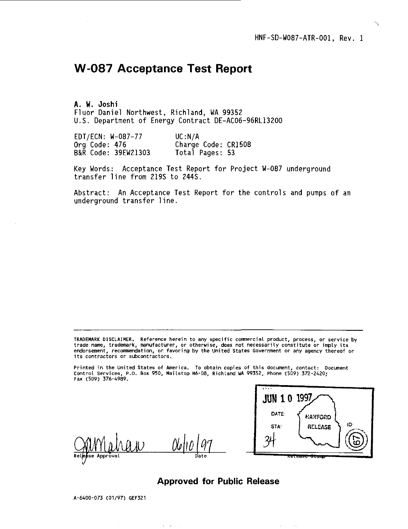# **W-087 Acceptance Test Report**

**A. W. Joshi** Fluor Daniel Northwest, Richland, WA 99352 U.S. Department of Energy Contract DE-AC06-96RL13200

| EDT/ECN: W-087-77   | UC:N/A              |  |
|---------------------|---------------------|--|
| Org Code: 476       | Charge Code: CR1508 |  |
| B&R Code: 39EW21303 | Total Pages: 53     |  |

Key Words: Acceptance Test Report for Project W-087 underground transfer line from 219S to 244S.

Abstract: An Acceptance Test Report for the controls and pumps of an underground transfer line.

TRADEMARK DISCLAIMER. Reference herein to any specific commercial product, process, or service by<br>trade name, trademark, manufacturer, or otherwise, does not necessarily constitute or imply its<br>endorsement, recommendation **its contractors or subcontractors.**

**Printed in the United states of America. To obtain copies of this document, contact: Document Control Services, P.O. Box 950, Mailstop H6-08, Richland UA 99352, Phone (509) 372-2420; Fax (509) 376-4989.**



# **Approved for Public Release**

A-6400-073 (01/97) GEF321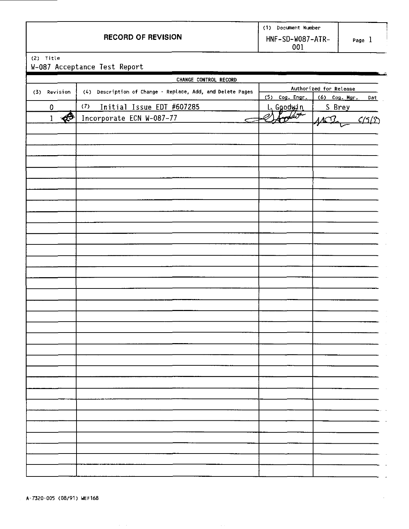|                           | Document Number          |      |
|---------------------------|--------------------------|------|
| <b>RECORD OF REVISION</b> | HNF-SD-W087-ATR-<br>00 ì | Page |

(2) Title

W-087 Acceptance Test Report

|                                         | CHANGE CONTROL RECORD                                      |                        |                           |  |  |
|-----------------------------------------|------------------------------------------------------------|------------------------|---------------------------|--|--|
| (3) Revision                            | (4) Description of Change - Replace, Add, and Delete Pages | Authorized for Release |                           |  |  |
|                                         |                                                            | $(5)$ Cog. Engr.       | $(6)$ Cog. Mgr.<br>Dat    |  |  |
| $\overline{0}$                          | (7)<br>Initial Issue EDT #607285                           | L. Goodwin             | S Brey                    |  |  |
| $\overline{\mathbf{P}}$<br>$\mathbf{1}$ | Incorporate ECN W-087-77<br>←                              | $\mathbb{Z}$           | $\frac{C(5/2)}{C}$<br>402 |  |  |
|                                         |                                                            |                        |                           |  |  |
|                                         |                                                            |                        |                           |  |  |
|                                         |                                                            |                        |                           |  |  |
|                                         |                                                            |                        |                           |  |  |
|                                         |                                                            |                        |                           |  |  |
|                                         |                                                            |                        |                           |  |  |
|                                         |                                                            |                        |                           |  |  |
|                                         |                                                            |                        |                           |  |  |
|                                         |                                                            |                        |                           |  |  |
|                                         |                                                            |                        |                           |  |  |
|                                         |                                                            |                        |                           |  |  |
|                                         |                                                            |                        |                           |  |  |
|                                         |                                                            |                        |                           |  |  |
|                                         |                                                            |                        |                           |  |  |
|                                         |                                                            |                        |                           |  |  |
|                                         |                                                            |                        |                           |  |  |
|                                         |                                                            |                        |                           |  |  |
|                                         |                                                            |                        |                           |  |  |
|                                         |                                                            |                        |                           |  |  |
|                                         |                                                            |                        |                           |  |  |
|                                         |                                                            |                        |                           |  |  |
|                                         |                                                            |                        |                           |  |  |
|                                         |                                                            |                        |                           |  |  |
|                                         |                                                            |                        |                           |  |  |
|                                         |                                                            |                        |                           |  |  |
|                                         |                                                            |                        |                           |  |  |
|                                         |                                                            |                        |                           |  |  |
|                                         |                                                            |                        |                           |  |  |
|                                         |                                                            |                        |                           |  |  |
|                                         |                                                            |                        |                           |  |  |
|                                         |                                                            |                        |                           |  |  |
|                                         |                                                            |                        |                           |  |  |
|                                         |                                                            |                        |                           |  |  |
|                                         |                                                            |                        |                           |  |  |
|                                         |                                                            |                        |                           |  |  |
|                                         |                                                            |                        |                           |  |  |
|                                         |                                                            |                        |                           |  |  |
|                                         |                                                            |                        |                           |  |  |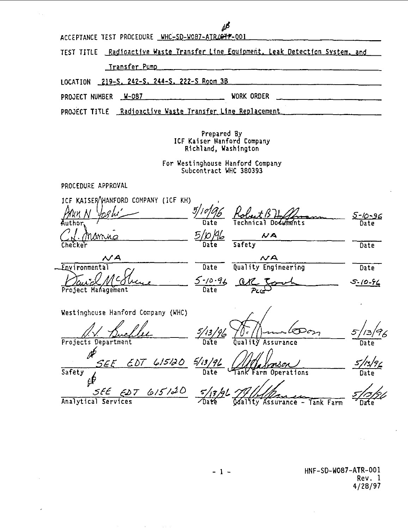**ACCEPTANCE TEST PROCEDURE WHC-SD-W087-ATR.Wfr-00I**

**TEST TITLE Radioactive Waste Transfer Line Equipment. Leak Detection System, and**

 $\mathbf{r}$ 

**Transfer Pump**

**LOCATION 219-S. 242-S. 244-S. 222-S Room 3B**

**PROJECT NUMBER W-087** WORK ORDER WORK ORDER

**PROJECT TITLE Radioactive Waste Transfer Line Replacement**

**Prepared By ICF Kaiser Hanford Company Richland, Washington**

**For Westinghouse Hanford Company Subcontract WHC 380393**

**PROCEDURE APPROVAL**

| ICF KAISER HANFORD COMPANY (ICF KH)              |                                                |                        |
|--------------------------------------------------|------------------------------------------------|------------------------|
| Author                                           | Technical Documents<br>Date                    | 5-10-96<br>Date        |
| Manue<br>Checker                                 | <u>5/10/46</u><br>NA<br>Safety                 | Date                   |
| NA<br>Environmental                              | $\mathcal{N}$ A<br>Quality Engineering<br>Date | Date                   |
| Project Management                               | $5 - 10 - 96$ are<br>Date                      | 5-10-94                |
| Westinghouse Hanford Company (WHC)               |                                                |                        |
| Projects Department                              | 5/13/96<br>Quality Assurance                   | 96<br>5.<br>73<br>Date |
| $EDT$ 615120 5/13/96<br>SEE<br>Safety            | Tank Farm Operations                           |                        |
| SEE EDT 615120 5/17/26 79<br>Analytical Services | Odality Assurance - Tank Farm                  |                        |

**HNF-SD-W087-ATR-001 Rev. 1 4/28/97**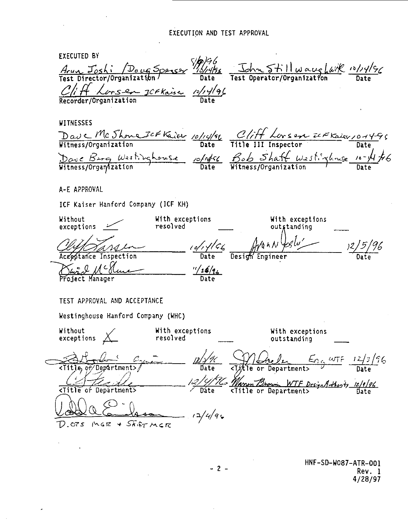**EXECUTED BY** *Arun Joshi Doug Sporser 18/4/56* Arun Joshi **Date** Test Operator/Organization Date  $C/\!\!/$  H  $\,$  , **Recorder/Organization Date WITNESSES** <u>Dave</u> Mc **Witness/Organization Date Title III Inspector Date Witness/Orgaiylzation Date Witness/Organization Date A-E APPROVAL ICF Kaiser Hanford Company (ICF KH) Without With exceptions With exceptions exceptions resolved outstanding** *<u><i>o/, y/c<sub>6</sub>*</u><br>Date</sub> 96 *)l/5/* Inspection **Date** Design Engineer Date <u>Part A C</u> Hence 1/26/26<br>Project Manager Date **TEST APPROVAL AND ACCEPTANCE Westinghouse Hanford Company (WHC) Without Y With exceptions With exceptions** exceptions  $\angle$ **resolved outstanding** if/Deptrtraent>/ **ate <Tit'le or Department>** *Marian Brown WTF DesignArthonty 12/9/96*<br><Title or Department> Date <Title or Departraent>  $12/49$  $D_{0}$  ors *ingr + Skirmer* 

**HNF-SD-W087-ATR-001 Rev. 1 4/28/97**

**- 2 -**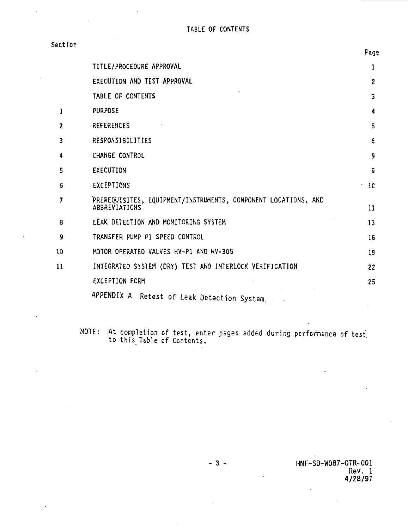**Section**

|                | TITLE/PROCEDURE APPROVAL                                                        | 1              |
|----------------|---------------------------------------------------------------------------------|----------------|
|                | EXECUTION AND TEST APPROVAL                                                     | $\overline{c}$ |
|                | TABLE OF CONTENTS                                                               | 3              |
| $\mathbf{I}$   | <b>PURPOSE</b>                                                                  | 4              |
| $\overline{c}$ | <b>REFERENCES</b>                                                               | 5              |
| 3              | RESPONSIBILITIES                                                                | £              |
| 4              | CHANGE CONTROL                                                                  | 5              |
| 5              | EXECUTION                                                                       | ç              |
| 6              | EXCEPTIONS                                                                      | 10             |
| 7              | PREREQUISITES, EQUIPMENT/INSTRUMENTS, COMPONENT LOCATIONS, AND<br>ABBREVIATIONS | 11             |
| 8              | LEAK DETECTION AND MONITORING SYSTEM                                            | 13             |
| 9              | TRANSFER PUMP PI SPEED CONTROL                                                  | 16             |
| 10             | MOTOR OPFRATED VALVES HV-P1 AND HV-305                                          | 19             |
| 11             | INTEGRATED SYSTEM (DRY) TEST AND INTERLOCK VERIFICATION                         | 22             |
|                | <b>EXCEPTION FORM</b>                                                           | 25             |
|                | APPENDIX A Retest of Leak Detection System,                                     |                |

**NOTE: At completion of test, enter pages added during performance of test to this Table of Contents.**

**- 3 - HNF-SD-W087-OTR-001 Rev. 1 4/28/97**

**Fags**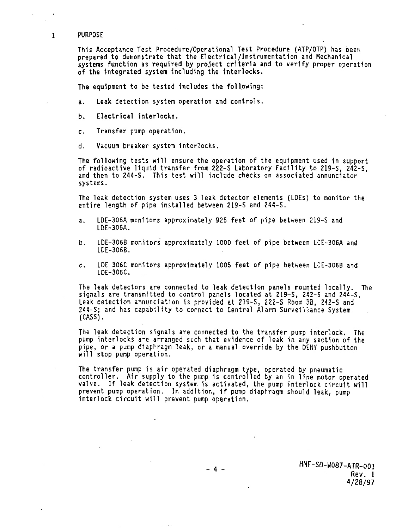### **PURPOSE**

 $\mathbf{1}$ 

**This Acceptance Test Procedure/Operational Test Procedure (ATP/OTP) has been prepared to demonstrate that the Electrical/Instrumentation and Mechanical systems function as required by project criteria and to verify proper operation of the integrated system including the interlocks.**

**The equipment to be tested includes the following:**

**a. Leak detection system operation and controls.**

**b. Electrical interlocks.**

**c. Transfer pump operation.**

**d. Vacuum breaker system Interlocks.**

**The following tests will ensure the operation of the equipment used in support** and then to 244-S. This test will include checks on associated annunciator **and then to 244-S. This test will include checks on associated annunciator systems.**

**The leak detection system uses 3 leak detector elements (LDEs) to monitor the entire length of pipe installed between 219-S and 244-S.**

- **a. LDE-306A monitors approximately 925 feet of pipe between 219-S and LDE-3O6A.**
- **b. LDE-3O6B monitors approximately 1000 feet of pipe between L0E-306A and LDE-3068.**
- **c. LDE 306C monitors approximately 1005 feet of pipe between LDE-306B and LDE-306C.**

**The leak detectors are connected to leak detection panels mounted locally. The signals are transmitted to control panels located at 219-S, 242-S and 244-S. Leak detection annunciation is provided at 219-S, 222-S Room 3B, 242-S and 244-S; and has capability to connect to Central Alarm Surveillance System (CASS).**

**The leak detection signals are connected to the transfer pump interlock. The pump interlocks are arranged such that evidence of leak in any section of the pipe, or a pump diaphragm leak, or a manual override by the DENY pushbutton will stop pump operation.**

**The transfer pump is air operated diaphragm type, operated by pneumatic controller. A1r supply to the pump 1s controlled by an in line motor operated valve. If leak detection system is activated, the pump interlock circuit will prevent pump operation. In addition, 1f pump diaphragm should leak, pump interlock circuit will prevent pump operation.**

> **HNF-SD-W087-ATR-001 Rev. 1 4/28/97**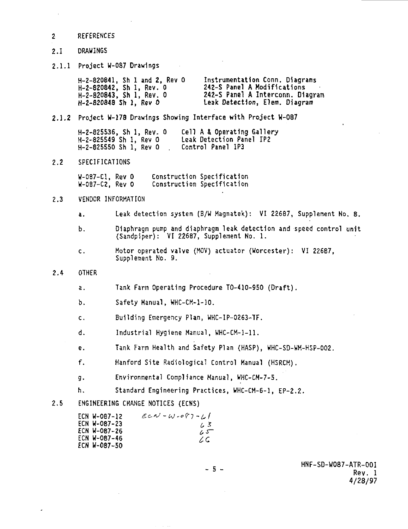### **2 REFERENCES**

# **2.1 DRAWINGS**

**2.1.1 Project W-087 Drawings**

| H-2-820841. Sh I and 2. Rev O | Instrumentation Conn. Diagrams   |
|-------------------------------|----------------------------------|
| H-2-820842. Sh l. Rev. 0      | 242-S Panel A Modifications      |
| H-2-820843. Sh 1. Rev. O      | 242-S Panel A Interconn. Diagram |
| H-2-820848 Sh 1, Rev O        | Leak Detection, Elem. Diagram    |

## **2.1.2 Project W-178 Drawings Showing Interface with Project W-087**

**H-2-825536, Sh 1, Rev. 0 Cell A & Operating Gallery H-2-825549 Sh 1, Rev 0 Leak Detection Panel IP2 H-2-825550 Sh 1, Rev 0** 

# **2.2 SPECIFICATIONS**

**W-0B7-C1, Rev 0 Construction Specification** Construction Specification

# **2.3 VENDOR INFORMATION**

- **a. Leak detection system (B/W Hagnatek): VI 226B7, Supplement No. 8.**
- **b. Diaphragm pump and diaphragm leak detection and speed control unit (Sandpiper): VI 22687, Supplement No. 1.**
- **c. Motor operated valve (MOV) actuator (Worcester): VI 22687, Supplement No. 9.**

# **2.4 OTHER**

- **a. Tank Farm Operating Procedure TO-410-950 (Draft).**
- **b. Safety Manual, WHC-CM-1-10.**
- **c. Building Emergency Plan, WHC-1P-O263-TF.**
- **d. Industrial Hygiene Manual, WHC-CH-1-11.**
- **e. Tank Farm Health and Safety Plan (HASP), WHC-SD-WM-HSP-OO2.**

**"**

**f. Hanford Site Radiological Control Manual (HSRCM).**

- **g. Environmental Compliance Manual, WHC-CM-7-5.**
- **h. Standard Engineering Practices, WHC-CM-6-1, EP-2.2.**

# **2.5 ENGINEERING CHANGE NOTICES (ECNS)**

| ECN W-0B7-12 | $ECN-W-087-11$ |
|--------------|----------------|
| ECN W-087-23 | 1.5            |
| ECN W-087-26 | -ي د           |
| ECN W-087-46 | ZC.            |
| ECN W-087-50 |                |

**HNF-SD-W087-ATR-001**  $b^2 - b^2$  Rev. 1 **4/28/97**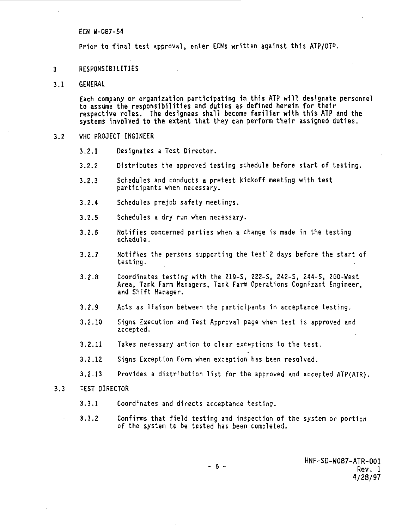**ECN W-087-54**

**Prior to final test approval, enter ECNs written against this ATP/OT".**

- **3 RESPONSIBILITIES**
- **3.1 GENERAL**

**Each company or organization participating in this ATP will designate personnel to assume the responsibilities and duties as defined herein for their respective roles. The designees shall become familiar with this ATP and the systems involved to the extent that they can perform their assigned duties.**

- **3.2 WHC PROJECT ENGINEER**
	- **3.2.1 Designates a Test Director.**
	- **3.2.2 Distributes the approved testing schedule before start of testing.**
	- **3.2.3 Schedules and conducts a pretest kickoff meeting with test participants when necessary.**
	- **3.2.4 Schedules prejob safety meetings.**
	- **3.2.5 Schedules a dry run when necessary.**
	- **3.2.6 Notifies concerned parties when a change is made in the testing schedule.**
	- **3.2.7 Notifies the persons supporting the test 2 days before the start of testing.**
	- **3.2.8 Coordinates testing with the 219-S, 222-S, 242-S, 244-S, 200-West Area, Tank Farm Managers, Tank Farm Operations Cognizant Engineer, and Shift Manager.**
	- **3.2.9 Acts as liaison between the participants in acceptance testing.**
	- **3.2.10 Signs Execution and Test Approval page when test is approved and accepted.**
	- **3.2.11 Takes necessary action to clear exceptions to the test.**
	- **3.2.12 Signs Exception Form when exception has been resolved.**
	- **3.2.13 Provides a distribution list for the approved and accepted ATP(ATR).**
- **3.3 TEST DIRECTOR**
	- **3.3.1 Coordinates and directs acceptance testing.**
	- **3.3.2 Confirms that field testing and Inspection of the system or portion of the system to be tested has been completed.**

**HNF-SD-W087-ATR-001 <sup>6</sup> " Rev. 1 4/28/97**

**"**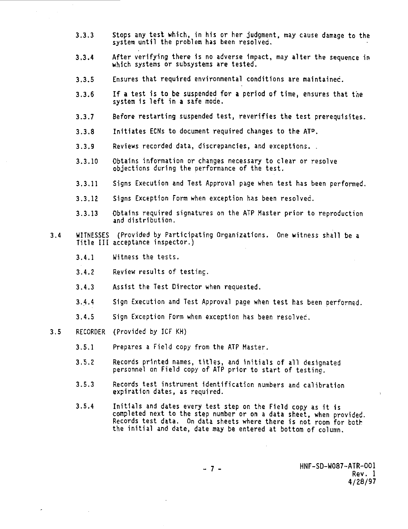- **3.3.3 Stops any test which, in his or her judgment, may cause damage to the system until the problem has been resolved.**
- **3.3.4 After verifying there is no adverse Impact, may alter the sequence in which systems or subsystems are tested.**
- **3.3.5 Ensures that required environmental conditions are maintained.**
- **3.3.6 If a test is to be suspended for a period of time, ensures that the system 1s left in a safe mode.**
- **3.3.7 Before restarting suspended test, reverifies the test prerequisites.**
- **3.3.8 Initiates ECNs to document required changes to the AT<sup>D</sup> .**
- **3.3.9 Reviews recorded data, discrepancies, and exceptions. .**
- **3.3.10 Obtains information or changes necessary to clear or resolve objections during the performance of the test.**
- **3.3.11 Signs Execution and Test Approval page when test has been performed.**
- **3.3.12 Signs Exception Form when exception has been resolved.**
- **3.3.13 Obtains required signatures on the ATP Master prior to reproduction and distribution.**
- **3.4 WITNESSES (Provided by Participating Organizations. One witness shall be a Title III acceptance inspector.)**
	- **3.4.1 Witness the tests.**
	- **3.4.2 Review results of testing.**
	- **3.4.3 Assist the Test Director when requested.**
	- **3.4.4 Sign Execution and Test Approval page when test has been performed.**
	- **3.4.5 Sign Exception Form when exception has been resolved.**
- **3.5 RECORDER (Provided by ICF KH)**
	- **3.5.1 Prepares a Field copy from the ATP Master.**
	- **3.5.2 Records printed names, titles, and initials of all designated personnel on Field copy of ATP prior to start of testing.**
	- **3.5.3 Records test instrument Identification numbers and calibration expiration dates, as required.**
	- **3.5.4 Initials and dates every test step on the Field copy as it is completed next to the step number or on a data sheet, when provided. Records test data. On data sheets where there is not room for both the initial and date, date may be entered at bottom of column.**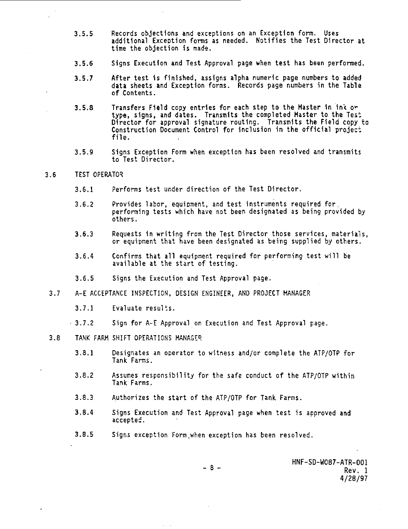- **3.5.5 Records objections and exceptions on an Exception form. Uses additional Exception forms as needed. Notifies the Test Director at time the objection is made.**
- **3.5.6 Signs Execution and Test Approval page when test has been performed.**
- **3.5.7 After test is finished, assigns alpha numeric page numbers to added data sheets and Exception forms. Records page numbers in the Table of Contents.**
- **3.5.8 Transfers Field copy entries for each step to the Master In in\* o\* type, signs, and dates. Transmits the completed Master to the Test Director for approval signature routing. Transmits the Field copy to Construction Document Control for inclusion in the official project file.**
- **3.5.9 Signs Exception Form when exception has been resolved and transmits to Test Director.**
- **3.6 TEST OPERATOR**
	- **3.6.1 Performs test under direction of the Test Director.**
	- **3.6.2 Provides labor, equipment, and test instruments required for. performing tests which have not been designated as being provided by others.**
	- **3.6.3 Requests in writing from the Test Director those services, materials, or equipment that have been designated as being supplied by others.**
	- **3.6.4 Confirms that all equipment required for performing test will be available at the start of testing.**
	- **3.6.5 Signs the Execution and Test Approval page.**
- **3.7 A-E ACCEPTANCE INSPECTION, DESIGN ENGINEER, AND PROJECT MANAGER**
	- **3.7.1 Evaluate results.**
	- **3.7.2 Sign for A-E Approval on Execution and Test Approval page.**
- **3.8 TANK FARM SHIFT OPERATIONS MANAGER**
	- **3.8.1 Designates an operator to witness and/or complete the ATP/OTP for Tank Farms.**
	- **3.8.2 Assumes responsibility for the safe conduct of the ATP/OTP within Tank Farms.**
	- **3.8.3 Authorizes the start of the ATP/OTP for Tank Farms.**
	- **3.8.4 Signs Execution and Test Approval page when test is approved and accepted.**
	- **3.8.5 Signs exception Form,when exception has been resolved.**

**HNF-SD-W087-ATR-001 Rev. 1 4/28/97**

 $-8 -$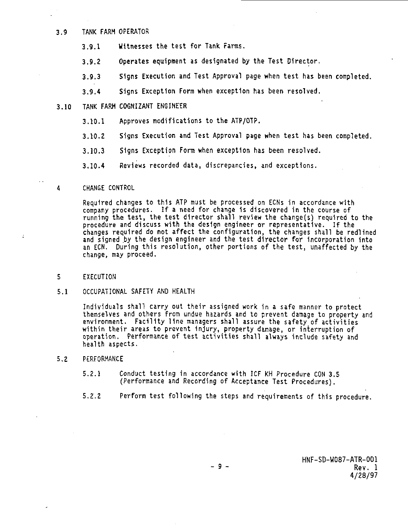# **3.9 TANK FARM OPERATOR**

- **3.9.1 Witnesses the test for Tank Farms.**
- **3.9.2 Operates equipment as designated by the Test Director,**
- **3.9.3 Signs Execution and Test Approval page when test has been completed.**
- **3.9.4 Signs Exception Form when exception has been resolved.**
- **3.10 TANK FARM COGNIZANT ENGINEER**
	- **3.10.1 Approves modifications to the ATP/OTP.**
	- **3.10.2 Signs Execution and Test Approval page when test has been completed.**
	- **3.10.3 Signs Exception Form when exception has been resolved.**
	- **3.10.4 Reviews recorded data, discrepancies, and exceptions.**
- **4 CHANGE CONTROL**

**Required changes to this ATP must be processed on ECNs in accordance with company procedures. If a need for change 1s discovered in the course of running the test, the test director shall review the change(s) required to the procedure and discuss with the design engineer or representative. If the changes required do not affect the configuration, the changes shall be redlined and signed by the design engineer and the test director for incorporation into an ECN. During this resolution, other portions of the test, unaffected by the change, may proceed.**

- **5 EXECUTION**
- **5.1 OCCUPATIONAL SAFETY AND HEALTH**

**Individuals shall carry out their assigned work in a safe manner to protect themselves and others from undue hazards and to prevent damage to property and environment. Facility line managers shall assure the safety of activities within their areas to prevent Injury, property damage, or interruption of operation. Performance of test activities shall always include safety and health aspects.**

- **5.2 PERFORMANCE**
	- **5.2.1 Conduct testing in accordance with JCF KH Procedure CON 3.5 (Performance and Recording of Acceptance Test Procedures).**
	- **5.2.2 Perform test following the steps and requirements of this procedure.**

**HNF-SD-W087-ATR-001 - 9 - Rev. 1 4/28/97**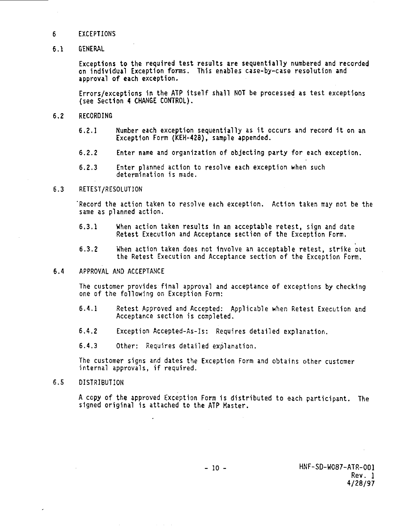# **6 EXCEPTIONS**

# **6.1 GENERAL**

**Exceptions to the required test results are sequentially numbered and recorded on individual Exception forms. This enables case-by-case resolution and approval of each exception.**

**Errors/exceptions 1n the ATP itself shall NOT be processed as test exceptions (see Section 4 CHANGE CONTROL).**

### **6.2 RECORDING**

- **6.2.1 Number each exception sequentially as it occurs and record it on an Exception Form (KEH-428), sample appended.**
- **6.2.2 Enter name and organization of objecting party for each exception.**
- **6.2.3 Enter planned action to resolve each exception when such determination is made.**

## **6.3 RETEST/RESOLUTION**

**'Record the action taken to resolve each exception. Action taken may rot be the same as planned action.**

- **6.3.1 When action taken results in an acceptable retest, sign and date Retest Execution and Acceptance section of the Exception Form.**
- **6.3.2 When action taken does not involve an acceptable retest, strike out the Retest Execution and Acceptance section of the Exception Form.**

### **6.4 APPROVAL AND ACCEPTANCE**

**The customer provides final approval and acceptance of exceptions by checking one of the following on Exception Form:**

- **6.4.1 Retest Approved and Accepted: Applicable when Retest Execution and Acceptance section is completed.**
- **6.4.2 Exception Accepted-As-Is: Requires detailed explanation.**

**6.4.3 Other: Requires detailed explanation.**

**The customer signs and dates the Exception Form and obtains other customer internal approvals, if required.**

## **6.5 DISTRIBUTION**

**A copy of the approved Exception Form is distributed to each participant. The signed original is attached to the ATP Master.**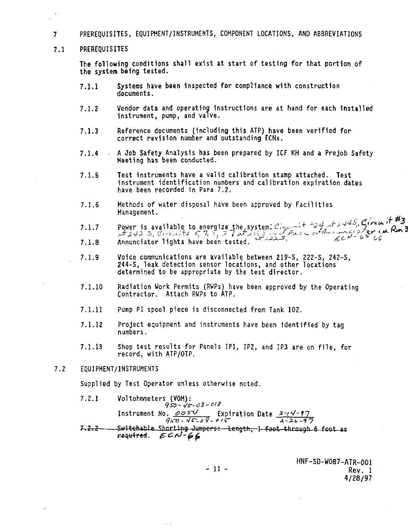- **7 PREREQUISITES, EQUIPMENT/INSTRUMENTS, COMPONENT LOCATIONS, AND ABBREVIATIONS**
- **7.1 PREREQUISITES**

**The following conditions shall exist at start of testing for that portion of the system being tested.**

- **7.1.1 Systems have been inspected for compliance with construction documents.**
- **7.1.2 Vendor data and operating Instructions are at hand for each installed instrument, pump, and valve.**
- **7.1.3 Reference documents (including this ATP) have been verified for correct revision number and outstanding ECNs.**
- **7.1.4 A Job Safety Analysis has been prepared by ICF KH and a Prejob Safety Meeting has been conducted.**
- **7.1.5 Test instruments have a valid calibration stamp attached. Test instrument identification numbers and calibration expiration dates have been recorded in Para 7.2.**
- **7.1.6 Methods of water disposal have been approved by Facilities Management.**
- **7.1.7** Power is available to energize the system;  $\mathcal{L}_{i}$ <sub>i</sub>,  $\mathcal{L}_{i}$   $\mathcal{L}_{i}$   $\mathcal{L}_{i}$   $\mathcal{L}_{i}$   $\mathcal{L}_{i}$   $\mathcal{L}_{i}$ **7.1.8 Annunciator lights have been tested. • - • •£**
- **7.1.9 Voice communications are available between 219-S, 222-S, 242-S, 244-S, leak detection sensor locations, and other locations determined to be appropriate by the test director.**
- **7.1.10 Radiation Work Permits (RWPs) have been approved by the Operating Contractor. Attach RWPs to ATP.**
- **7.1.11 Pump PI spool piece is disconnected from Tank 102.**
- **7.1.12 Project equipment and Instruments have been Identified by tag numbers.**
- **7.1.13 Shop test results for Panels IP], IP2, and IP3 are on file, for record, with ATP/OTP.**
- **7.2 EQUIPMENT/INSTRUMENTS**

**Supplied by Test Operator unless otherwise noted.**

**7.2.1 Voltohmmeters (VOM):** Instrument No.  $\frac{\rho \sigma s \nu}{\sqrt{3}}$  Expiration Date  $\frac{3-\nu}{3-2\nu-7}$  $7 - 2 - 2 -$ Sw44eJi\*hlp Shnrf4ng Jumpers:—fcerothr-1 foot -through 6 fo

> **HNF-SD-W087-ATR-001 Rev. 1 4/28/97**

 $-11 -$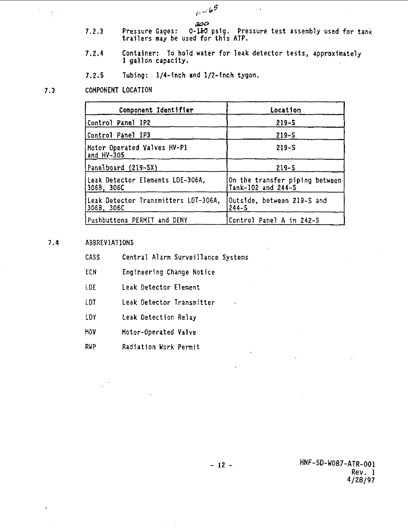$6000$ 

صصة

- **7.2.3 Pressure Gages: 0-1KI psig. Pressure test assembly used for tank trailers may be used for this ATP.**
- **7.2.4 Container: To hold water for leak detector tests, approximately 1 gallon capacity.**
- **7.2.5 Tubing: 1/4-Inch and 1/2-Inch tygon.**

#### **7.3 COMPONENT LOCATION**

 $\ddot{\cdot}$ 

| Component Identifier                               | Location                                             |
|----------------------------------------------------|------------------------------------------------------|
| Control Panel IP2                                  | $219 - S$                                            |
| Control Panel IP3                                  | $219 - S$                                            |
| Motor Operated Valves HV-Pl<br>and HV-305          | $219 - S$                                            |
| Panelboard (219–SX)                                | $219 - S$                                            |
| Leak Detector Elements LDE-306A.<br>306B, 306C     | On the transfer piping between<br>Tank-102 and 244-S |
| Leak Detector Transmitters LDT-306A,<br>306B, 306C | Outside, between 219-S and<br>$244-S$                |
| Pushbuttons PERMIT and DENY                        | Control Panel A in 242-S                             |

#### **7.4 ABBREVIATIONS**

| CASS |  |  | Central Alarm Surveillance Systems |  |
|------|--|--|------------------------------------|--|
|------|--|--|------------------------------------|--|

- **ECN Engineering Change Notice**
- **LDE Leak Detector Element**
- **LOT Leak Detector Transmitter**
- **LDY Leak Detection Relay**
- **MOV Motor-Operated Valve**
- **RWP Radiation Work Permit**

**- 12 - HNF-SD-W087-ATR-001 Rev. 1 4/28/97**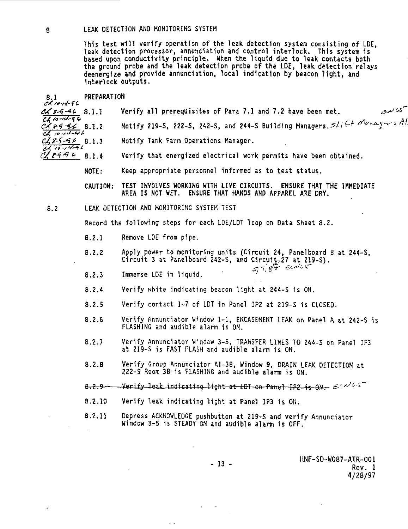**8 LEAK DETECTION AND MONITORING SYSTEM**

This test will verify operation of the leak detection system consisting of LDE,<br>leak detection processor, annunciation and control interlock. This system is<br>based upon conductivity principle. When the liquid due to leak co

| 8.1<br>$c$ K 10-14-96                   | PREPARATION     |                                                                                                                                  |
|-----------------------------------------|-----------------|----------------------------------------------------------------------------------------------------------------------------------|
| $C\sqrt{84468}.1.1$<br>$2410 - 14 - 96$ |                 | سمى بىر<br>Verify all prerequisites of Para 7.1 and 7.2 have been met.                                                           |
| $C \times 8996$ 8.1.2<br>$40 - 10 - 46$ |                 | Notify 219-5, 222-5, 242-5, and 244-5 Building Managers. $\mathcal{A}_i \in f$ Novagers Al                                       |
| 2855228313<br>$2710 - 14 - 96$          |                 | Notify Tank Farm Operations Manager.                                                                                             |
| C18446                                  | 8.1.4           | Verify that energized electrical work permits have been obtained.                                                                |
|                                         | NOTE:           | Keep appropriate personnel informed as to test status.                                                                           |
|                                         | <b>CAUTION:</b> | TEST INVOLVES WORKING WITH LIVE CIRCUITS. ENSURE THAT THE IMMEDIATE<br>AREA IS NOT WET. ENSURE THAT HANDS AND APPAREL ARE DRY.   |
| 8.2                                     |                 | LFAK DETECTION AND MONITORING SYSTEM TEST                                                                                        |
|                                         |                 | Record the following steps for each LDE/LDT loop on Data Sheet 8.2.                                                              |
|                                         | B.2.1           | Remove LDE from pipe.                                                                                                            |
|                                         | 8.2.2           | Apply power to monitoring units (Circuit 24, Panelboard B at 244-S,<br>Circuit 3 at Panelboard 242-S, and Circuit, 27 at 219-S). |
|                                         | 8.2.3           | $5,7,84$ ECNL<br>Immerse LDE in liquid.                                                                                          |
|                                         | 8.2.4           | Verify white indicating beacon light at 244-S is ON.                                                                             |
|                                         | 8.2.5           | Verify contact 1-7 of LDT in Panel IP2 at 219-S is CLOSED.                                                                       |
|                                         | 8.2.6           | Verify Annunciator Window 1-1, ENCASEMENT LEAK on Panel A at 242-S is<br>FLASHING and audible alarm is ON.                       |
|                                         | 8.2.7           | Verify Annunciator Window 3-5, TRANSFER LINES TO 244-5 on Panel IP3<br>at 219-S is FAST FLASH and audible alarm is ON.           |
|                                         | 8.2.8           | Verify Group Annunciator Al-38, Window 9, DRAIN LEAK DETECTION at<br>222-S Room 3B is FLASHING and audible alarm is ON.          |
|                                         | ــوجوو          | $\cdot$ Verify leak indicating light at LDT on Panel IP2 is ON, $\in$ CMCS $^{-}$                                                |
|                                         | 8.2.10          | Verify leak indicating light at Panel IP3 is ON.                                                                                 |
|                                         | 8.2.11          | Depress ACKNOWLEDGE pushbutton at 219-S and verify Annunciator<br>Window 3-5 is STEADY ON and audible alarm is OFF.              |
|                                         |                 |                                                                                                                                  |
|                                         |                 | HNF-SD-W087-ATR-001<br>- 13 -<br>Rev. 1                                                                                          |

Rev. 1 4/28/97

 $\ddot{\phantom{a}}$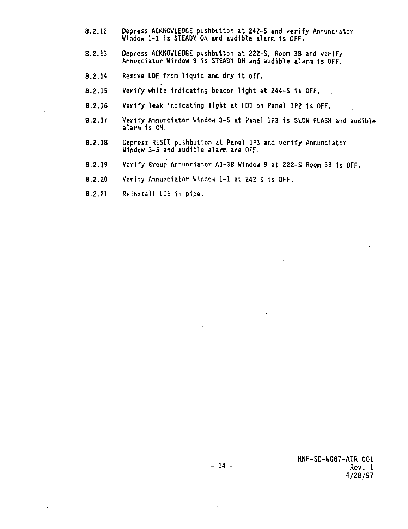- **8.2.12 Depress ACKNOWLEDGE pushbutton at 242-S and verify Annunciator Window 1-1 Is STEADY ON and audible alarm Is OFF.**
- **8.2.13 Depress ACKNOWLEDGE pushbutton at 222-S, Room 3B and verify Annunciator Window 9 is STEADY OH and audible alarm is OFF.**
- **8.2.14 Remove LDE from liquid and dry 1t off.**
- **8.2.15 Verify white Indicating beacon light at 244-S 1s OFF.**
- **8.2.16 Verify leak Indicating light at LDT on Panel IP2 is OFF.**
- **8.2.17 Verify Annunciator Window 3-5 at Panel IP3 is SLOW FLASH and audible alarm is ON.**
- **8.2.18 Depress RESET pushbutton at Panel 1P3 and verify Annunciator Window 3-5 and audible alarm are OFF.**
- **8.2.19 Verify Group Annunciator A1-3B Window 9 at 222-S Room 3B 1s OFF.**
- **8.2.Z0 Verify Annunciator Window 1-1 at 242-S is OFF.**
- **8.2.21 Reinstall LDE in pipe.**

**HNF-SD-W087-ATR-001 Rev. 1 4/28/97**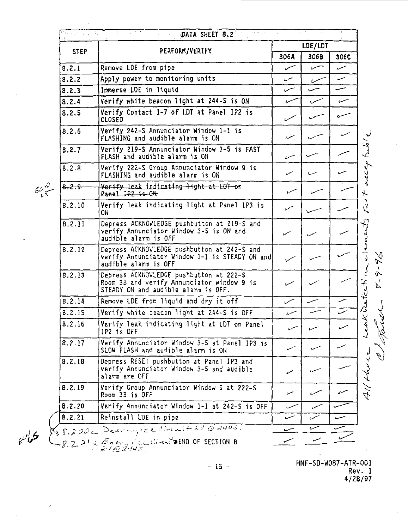|             | LDE/LDT                                                                                                                      |      |      |      |
|-------------|------------------------------------------------------------------------------------------------------------------------------|------|------|------|
| <b>STEP</b> | PERFORM/VERIFY                                                                                                               | 306A | 306B | 306C |
| 8.2.1       | Remove LDE from pipe                                                                                                         | س    | سما  | سمد  |
| 8.2.2       | Apply power to monitoring units                                                                                              | س    | سما  | س    |
| 8.2.3       | Immerse LDE in liquid                                                                                                        |      |      |      |
| 8.2.4       | Verify white beacon light at 244-S is ON                                                                                     | سره  | سمس  |      |
| 8.2.5       | Verify Contact 1-7 of LDT at Panel IP2 is<br>CLOSED                                                                          |      |      |      |
| 8.2.6       | Verify 242-S Annunciator Window 1-1 is<br>FLASHING and audible alarm is ON                                                   | سمد  |      | سى   |
| 8.2.7       | Verify 219-S Annunciator Window 3-5 is FAST<br>FLASH and audible alarm is ON                                                 | سر،  |      |      |
| 8.2.8       | Verify 222-S Group Annunciator Window 9 is<br>FLASHING and audible alarm is ON                                               | سر   |      |      |
| 8.2.9       | Verify leak indicating light at LDT on<br>Panel IP2 is ON                                                                    |      |      |      |
| 8.2.10      | Verify leak indicating light at Panel 1P3 is<br>ON                                                                           | سمسا |      |      |
| 8.2.11      | Depress ACKNOWLEDGE pushbutton at 219-S and<br>verify Annunciator Window 3-5 is ON and<br>audible alarm is OFF               |      |      |      |
| 8.2.12      | Depress ACKNOWLEDGE pushbutton at 242-S and<br>verify Annunciator Window 1-1 is STEADY ON and<br>audible alarm is OFF        |      |      |      |
| 8.2.13      | Depress ACKNOWLEDGE pushbutton at 222-S<br>Room 3B and verify Annunciator window 9 is<br>STEADY ON and audible alarm is OFF. |      |      |      |
| 8.2.14      | Remove LDE from liquid and dry it off                                                                                        |      |      |      |
| 8.2.15      | Verify white beacon light at 244-S is OFF                                                                                    | سر،  |      |      |
| 8.2.16      | Verify leak indicating light at LDT on Panel<br>IP2 is OFF                                                                   |      |      |      |
| 8.2.17      | Verify Annunciator Window 3-5 at Panel IP3 is<br>SLOW FLASH and audible alarm is ON                                          |      |      |      |
| 8.2.18      | Depress RESET pushbutton at Panel IP3 and<br>verify Annunciator Window 3-5 and audible<br>alarm are OFF                      | V    |      |      |
| 8.2.19      | Verify Group Annunciator Window 9 at 222-S<br>Room 3B is OFF                                                                 | سره  |      |      |
| 8.2.20      | Verify Annunciator Window 1-1 at 242-S is OFF                                                                                |      |      |      |
| 8.2.21      | Reinstall LDE in pipe                                                                                                        | سى   |      |      |
|             | $\frac{1}{28,2.20}$ a Deerengize Circuit 24 @ 2445.                                                                          |      | سر   |      |

 $e^{i\theta}$ 

 $\bar{\phantom{a}}$ 

 $\ddot{\phantom{a}}$ 

 $\ddot{\phantom{a}}$ 

 $\overline{a}$ 

- 15 -

÷.

**HNF-SD-W087-ATR-001 Rev. 1** 4/28/97

 $\bar{z}$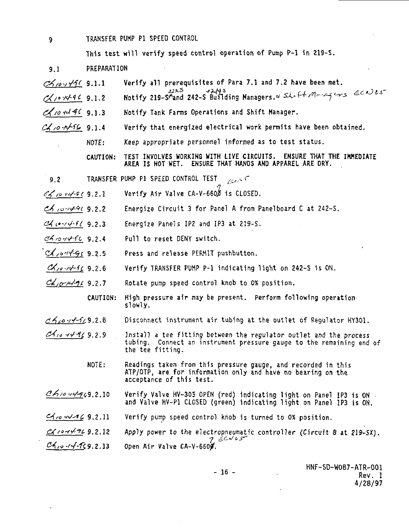**TRANSFER PUMP PI SPEED CONTROL**

**This test will verify speed control operation of Pump P-l in Z19-S.**

- 9.1 **PREPARATION**
- $C<sub>1</sub>/o<sub>2</sub>/4<sub>1</sub>$  9.1.1 Verify all prerequisites of Para 7.1 and 7.2 have been met.
- CX/ 0 1496 9.1.2 Notify 219-S^and 242-s Building Managers. Shift Moneyers ECNES
- $\mathcal{A}$  /o-rd-9C 9.1.3 Notify Tank Farms Operations and Shift Manager.
- $c$ /,o- $\sqrt{c}$  9.1.4 Verify that energized electrical work permits have been obtained.
	- NOTE: Keep appropriate personnel informed as to test status.

CAUTION: TEST INVOLVES WORKING WITH LIVE CIRCUITS. ENSURE THAT THE IMMEDIATE AREA IS NOT WET. ENSURE THAT HANDS AND APPAREL ARE DRY.

- 9.2 TRANSFER PUMP PI SPEED CONTROL TEST FOODLED
- $\sigma$  refer 9.2.1 Verify Air Valve CA-V-66OD is CLOSED.
- Energize Circuit 3 for Panel A from Panelboard C at 242-S. <u>ان ۱**۰**۷۰٬۴</u>۰ و.
- Energize Panels IP2 and IP3 at 219-S. **cM \*** •J>-r<f-fl 9.2.3
- Pull to reset DENY switch. ah 10 14 PC 9.2.4
- Press and release PERMIT pushbutton.  $0.285$  /  $0.7999$   $2.5$
- Verify TRANSFER PUMP P-l indicating light on 242-S is ON. *<u>,,,,4-9 9.2.6</u>*
- Rotate pump speed control knob to 0% position. Ch<sub>10</sub>-14969.2.7
	- CAUTION: High pressure air may be present. Perform following operation' slowly.
- $0.410 + 4.9.2.8$ **Disconnect instrument air tubing at the outlet of Regulator KY301.**
- Chio 44969.2.9 **Install a tee fitting between the regulator outlet and the process tubing. Connect an instrument pressure gauge to the remaining end of the tee fitting.**
	- **NOTE: Readings taken from this pressure gauge, and recorded in this ATP/OTP, are for information only and have no bearing on the acceptance of this test.**
- $CA$ 10-14-969.2.10 **Verify Valve HV-305 OPEN (red) indicating light on Panel IP3 is ON and Valve HV-P1 CLOSED (green) indicating light on Panel 1P3 is ON.**
- $4.0 44 169.2.11$ **Verify pump speed control knob is turned to 0% position.**

**-ft'fc 9.2.12 » W-?"C9.2.13 Apply power to the electropneumatic controller (Circuit 8 at 219-SX). Open Air Valve CA-V-660/.**

- 16 -

HNF-SD-W087-ATR-001 Rev. 1 4/28/97

 $\mathbf{Q}$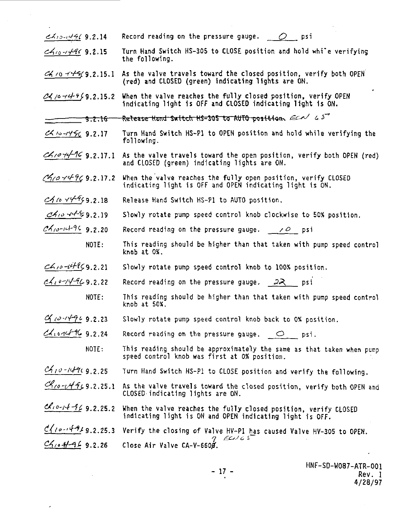- $\epsilon$ *A* $\beta$ - $\epsilon$ / $\epsilon$ / $\epsilon$ / $\epsilon$ / $\epsilon$  2.14 Record reading on the pressure gauge.  $\epsilon$  psi
- **9.2.15 Turn Hand Switch HS-305 to CLOSE position and hold whi'e verifying the following.**
- **.15.1 As the valve travels toward the closed position, verify both OPEN (red) and CLOSED (green) indicating lights are ON.**
- **.15.2 When the valve reaches the fully closed position, verify OPEN indicating light is OFF and CLOSED indicating light is ON.**
- Release Hand-Switch-HS-305 to AUTO-position. ECA/ 45 <del>9.2.16</del>-
- **9.2.17 Turn Hand Switch HS-P1 to OPEN position and hold while verifying the following.**
- **9.2.17.1 As the valve travels toward the open position, verify both OPEN (red) and CLOSED (green) indicating lights are ON.**
- $\mathcal{C}$ /0  $\forall$  4  $\mathcal{C}$  9.2.17.2 When the valve reaches the fully open position, verify CLOSED **indicating light is OFF and OPEN indicating light is ON.**
- **.2.18 Release Hand Switch HS-P1 to AUTO position.**
- **.2.19 Slowly rotate pump speed control knob clockwise to 50% position.**
- **9.2.20 Record reading on the pressure gauge. / o psi**
	- **NOTE: This reading should be higher than that taken with pump speed control knob at 0%.**
- **.2.21 Slowly rotate pump speed control knob to 100% position.**
- $cA_1$  $\circ$ - $\circ$  $\circ$ - $\circ$ **2.22** Record reading on the pressure gauge.  $\partial A$  psi
	- **NOTE: This reading should be higher than that taken with pump speed control knob at 50X.**
- **9.2.23 Slowly rotate pump speed control knob back to 0% position.**
- **9.2.24 Record reading on the pressure gauge. O psi.**
	- **NOTE:** This reading should be approximately the same as that taken when pump **speed control knob was first at 0% position.**
- **9.2.25 Turn Hand Switch HS-P1 to CLOSE position and verify the following.**
- **.2.25.1 As the valve travels toward the closed position, verify both OPEN and CLOSED indicating lights are ON.**
- **/o-/4-f(. 9.2.25.2 When the valve reaches the fully closed position, verify CLOSED indicating light is ON and OPEN indicating light is OFF.**
- $\frac{c}{10}$ ,  $\frac{c}{12}$ , 9.2.25.3 Verify the closing of Valve HV-P1 has caused Valve HV-305 to OPEN. **9.2.26** Close Air Valve CA–V–660Ø.

**" 17**

 **" Rev. 1 Rev. I HNF-SD-W087-ATR-001 4/28/97**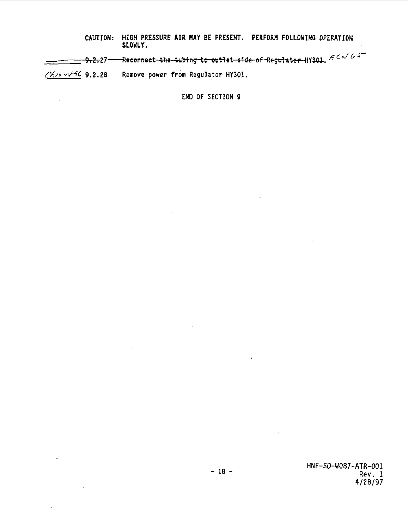**CAUTION: HIGH PRESSURE AIR NAY BE PRESENT. PERFORM FOLLOWING OPERATION SLOWLY.**

<del>g.2.27 - Reconnect the tubing to outlet side of Regulator HX3</del>01. الجزاد المركبة المستعمر بمركبة المستعمر

**-"/•\*(• 9.2.28 Remove power from Regulator HY301.**

**END OF SECTION 9**

**HNF-SD-W087-ATR-001 Rev. 1 4/28/97**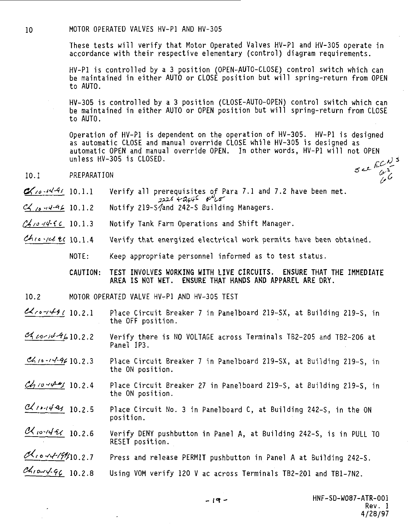10 MOTOR OPERATED VALVES HV-P1 AND HV-305

These tests will verify that Motor Operated Valves HV-P1 and HV-305 operate in accordance with their respective elementary (control) diagram requirements.

HV-P1 is controlled by a 3 position (OPEN-AUTO-CLOSE) control switch which can be maintained in either AUTO or CLOSE position but will spring-return from OPEN to AUTO.

HV-305 is controlled by a 3 position (CLOSE-AUTO-OPEN) control switch which can be maintained in either AUTO or OPEN position but will spring-return from CLOSE to AUTO.

Operation of HV-P1 is dependent on the operation of HV-305. HV-P1 is designed as automatic CLOSE and manual override CLOSE while HV-305 is designed as automatic OPEN and manual override OPEN. In other words, HV-P1 will not OPEN unless HV-305 is CLOSED.<br>PREPARATION  $\sigma \sim \frac{E C N^3}{C}$ 

- $\alpha$  /0.4441 10.1.1 Verify all prerequisites of Para 7.1 and 7.2 have been met.<br>2225 +2045  $\alpha$
- C4 ,t .,^-4(. 10.1.2 Notify 219-S^and 242-S Building Managers.
- $\frac{\partial}{\partial s}$  /o- $\frac{\partial}{\partial t}$  f c 10.1.3 Notify Tank Farm Operations and Shift Manager.
- $Ch$ ,  $\ll$  20 10.1.4 Verify that energized electrical work permits have been obtained.

NOTE: Keep appropriate personnel informed as to test status.

CAUTION: TEST INVOLVES WORKING WITH LIVE CIRCUITS. ENSURE THAT THE IMMEDIATE AREA IS MOT WET. ENSURE THAT HANDS AND APPAREL ARE DRY.

- 10.2 MOTOR OPERATED VALVE HV-P1 AND HV-305 TEST
- $\ll$ ro- $\ll$ + $\ll$  10.2.1 Place Circuit Breaker 7 in Panelboard 219-SX, at Building 219-S, in the OFF position.
- $\mathcal{A}$  corlé $\mathcal{A}$  b10.2.2 Verify there is NO VOLTAGE across Terminals TB2-205 and TB2-206 at Panel IP3.
- $\mathcal{A}_{10}$  -14-96 10.2.3 Place Circuit Breaker 7 in Panelboard 219-SX, at Building 219-S, in the ON position.
- $\mathcal{C}_2$  /0  $\forall$  4  $\neq$  10.2.4 Place Circuit Breaker 27 in Panelboard 219-S, at Building 219-S, in the ON position.
- $\alpha$   $\alpha$   $\beta$  10.2.5 Place Circuit No. 3 in Panelboard C, at Building 242-S, in the ON position.
- $\frac{\partial \mathcal{X}_{10} \sim \mathcal{U} + \mathcal{I}\mathcal{X}}{10.2.6}$  IO.2.6 Verify DENY pushbutton in Panel A, at Building 242-S, is in PULL TO RESET position.
- .7 Press and release PERMIT pushbutton in Panel A at Building 242-S.
- $\alpha$

<sup>10.1</sup> PREPARATION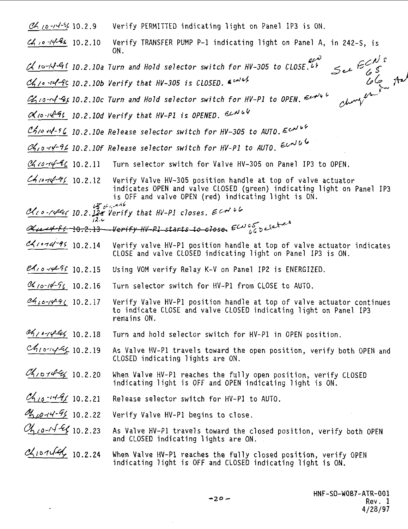| 0.2.9                                                                                                                                                                                                                                                                                                                                                                                                                                                       |      | Verify PERMITTED indicating light on Panel IP3 is ON.                                                                                                                                        |
|-------------------------------------------------------------------------------------------------------------------------------------------------------------------------------------------------------------------------------------------------------------------------------------------------------------------------------------------------------------------------------------------------------------------------------------------------------------|------|----------------------------------------------------------------------------------------------------------------------------------------------------------------------------------------------|
| $c4$ , 10 -14 - 24 10.2.10                                                                                                                                                                                                                                                                                                                                                                                                                                  |      | Verify TRANSFER PUMP P-1 indicating light on Panel A, in 242-S, is<br>ON.                                                                                                                    |
|                                                                                                                                                                                                                                                                                                                                                                                                                                                             |      | لعمته<br>See ECNS<br>$\alpha$ $\sim$ $\sqrt{4}$ $\sqrt{10}$ , $\sqrt{2}$ , $\sqrt{10}$ a Turn and Hold selector switch for HV-305 to CLOSE.                                                  |
|                                                                                                                                                                                                                                                                                                                                                                                                                                                             |      | $-222$<br>$-222$<br>$-122$<br>$-122$<br>$C_1$ , $\sim$ - $C_2$ - $C_3$ 10.2.10b Verify that HV-305 is CLOSED. E color                                                                        |
|                                                                                                                                                                                                                                                                                                                                                                                                                                                             |      | $\mathscr{U}_1$ 10-14- $\mathscr{U}_5$ 10.2.10c Turn and Hold selector switch for HV-P1 to OPEN.                                                                                             |
|                                                                                                                                                                                                                                                                                                                                                                                                                                                             |      | $\alpha$ to $\alpha$ - $\beta$ 10.2.10d Verify that HV-P1 is OPENED. EXNUV                                                                                                                   |
|                                                                                                                                                                                                                                                                                                                                                                                                                                                             |      | $C$ h/o $44 - 5C$ 10.2.10e Release selector switch for HV-305 to AUTO. $E$ colub                                                                                                             |
|                                                                                                                                                                                                                                                                                                                                                                                                                                                             |      | $\frac{\alpha_{1,0}^2+\gamma_{-}^2}{\alpha_{1,0}^2+\gamma_{-}^2}$ 10.2.10f Release selector switch for HV-P1 to AUTO. Evolution                                                              |
| 0.2.11                                                                                                                                                                                                                                                                                                                                                                                                                                                      |      | Turn selector switch for Valve HV-305 on Panel IP3 to OPEN.                                                                                                                                  |
| 44.07496 10.2.12                                                                                                                                                                                                                                                                                                                                                                                                                                            |      | Verify Valve HV-305 position handle at top of valve actuator<br>indicates OPEN and valve CLOSED (green) indicating light on Panel IP3<br>is OFF and valve OPEN (red) indicating light is ON. |
|                                                                                                                                                                                                                                                                                                                                                                                                                                                             |      | $43641 - 946$<br>Cheo-14er 10.2. 12a Verify that HV-P1 closes. ECN 66                                                                                                                        |
|                                                                                                                                                                                                                                                                                                                                                                                                                                                             | 12.4 | <u>Geralt ff 10.2.13</u> Verify HV-PL starts to close $\epsilon^{\omega}$ of $\delta$                                                                                                        |
| $c$ 21.14-95 10.2.14                                                                                                                                                                                                                                                                                                                                                                                                                                        |      | Verify valve HV-P1 position handle at top of valve actuator indicates<br>CLOSE and valve CLOSED indicating light on Panel IP3 is ON.                                                         |
| $e_1, 0.4496$ 10.2.15                                                                                                                                                                                                                                                                                                                                                                                                                                       |      | Using VOM verify Relay K-V on Panel IP2 is ENERGIZED.                                                                                                                                        |
| $\frac{C_{1/0} - 16C_{2}}{C_{1}}$ 10.2.16                                                                                                                                                                                                                                                                                                                                                                                                                   |      | Turn selector switch for HV-P1 from CLOSE to AUTO.                                                                                                                                           |
| $2410 - 1496$ 10.2.17                                                                                                                                                                                                                                                                                                                                                                                                                                       |      | Verify Valve HV-P1 position handle at top of valve actuator continues<br>to indicate CLOSE and valve CLOSED indicating light on Panel IP3<br>remains ON.                                     |
| ag10-14 lef 10.2.18                                                                                                                                                                                                                                                                                                                                                                                                                                         |      | Turn and hold selector switch for HV-P1 in OPEN position.                                                                                                                                    |
| $c_{10144}410.2.19$                                                                                                                                                                                                                                                                                                                                                                                                                                         |      | As Valve HV-Pl travels toward the open position, verify both OPEN and<br>CLOSED indicating lights are ON.                                                                                    |
| $\alpha_{101} + \alpha_{11} + \alpha_{12} + \alpha_{13} + \alpha_{14} + \alpha_{15} + \alpha_{16} + \alpha_{17} + \alpha_{18} + \alpha_{19} + \alpha_{10} + \alpha_{11} + \alpha_{12} + \alpha_{13} + \alpha_{14} + \alpha_{15} + \alpha_{16} + \alpha_{17} + \alpha_{18} + \alpha_{19} + \alpha_{11} + \alpha_{12} + \alpha_{13} + \alpha_{15} + \alpha_{16} + \alpha_{17} + \alpha_{18} + \alpha_{19} + \alpha_{11} + \alpha_{12} + \alpha_{13} + \alpha$ |      | When Valve HV-P1 reaches the fully open position, verify CLOSED<br>indicating light is OFF and OPEN indicating light is ON.                                                                  |
| $c_{10} - 149/10.2.21$                                                                                                                                                                                                                                                                                                                                                                                                                                      |      | Release selector switch for HV-P1 to AUTO.                                                                                                                                                   |
| 010-14-96 10.2.22                                                                                                                                                                                                                                                                                                                                                                                                                                           |      | Verify Valve HV-P1 begins to close.                                                                                                                                                          |
| Ch10-14-Ex 10.2.23                                                                                                                                                                                                                                                                                                                                                                                                                                          |      | As Valve HV-P1 travels toward the closed position, verify both OPEN<br>and CLOSED indicating lights are ON.                                                                                  |
| Chronolaly 10.2.24                                                                                                                                                                                                                                                                                                                                                                                                                                          |      | When Valve HV-P1 reaches the fully closed position, verify OPEN<br>indicating light is OFF and CLOSED indicating light is ON.                                                                |

 $\overline{\phantom{a}}$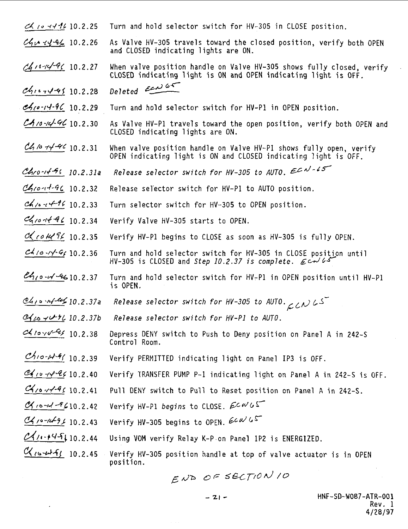- $\ll$  is  $\sim$  11 10.2.25 Turn and hold selector switch for HV-305 in CLOSE position.
- $\mathcal{C}$  $\mathcal{C}$  $\mathcal{C}$  $\mathcal{C}$  $\mathcal{C}$  $\mathcal{C}$   $\mathcal{C}$   $\mathcal{C}$   $\mathcal{C}$  As Valve HV-305 travels toward the closed position, verify both OPEN and CLOSED indicating lights are ON.
- $\mathscr{A}$ 10.2.27 When valve position handle on Valve HV-305 shows fully closed, verify CLOSED indicating light is ON and OPEN indicating light is OFF.
- $ch_{16} 19610.2.28$  Deleted  $65$
- $\mathscr{A}_{\ell}$  $\alpha$ - $\ell$ - $\ell$ - $\ell$ - $\ell$  10.2.29 Turn and hold selector switch for HV-P1 in OPEN position.
- $C_{10}$ -14.4 $C$  10.2.30 As Valve HV-P1 travels toward the open position, verify both OPEN and CLOSED indicating lights are ON.
- $\mathcal{CA}$  /0  $\not\!\sim$   $\not\!\sim$   $\mathcal{CA}$  /0.2.31 When valve position handle on Valve HV-P1 shows fully open, verify OPEN indicating light is ON and CLOSED indicating light is OFF.
- $Ch_1 \circ \cdot \cdot \cdot \cdot \circ \cdot$  10.2.31a Release selector switch for HV-305 to AUTO. EQN-45
- $C$ / $\sigma$  $\sigma$  $\sigma$  $\sigma$  $\sigma$  $\sigma$  $\sigma$   $\sigma$   $\sigma$  10.2.32 Release selector switch for HV-P1 to AUTO position.
- $\alpha$ / $\alpha$ - $\alpha$ - $\beta$ ( 10.2.33 Turn selector switch for HV-305 to OPEN position.
- $\mathcal{C}_{\mathcal{A}}$ 10.444 10.2.34 Verify Valve HV-305 starts to OPEN.
- $\alpha$  co  $\alpha$  10.2.35 Verify HV-P1 begins to CLOSE as soon as HV-305 is fully OPEN.
- $c4$ / $\sim$   $\sqrt{6}$  10.2.36 Turn and hold selector switch for HV-305 in CLOSE position until HV-305 is CLOSED and Step 10.2.37 is complete.  $\mathcal{L} \sim \mathcal{L} \mathcal{L}$
- $\mathcal{U}_{10}$  - $\mathcal{U}$ - $\mathcal{U}$ - $\mathcal{U}$  10.2.37 Turn and hold selector switch for HV-P1 in OPEN position until HV-P1 is OPEN.
- $\underline{d}_{H}$   $\sim$   $H$   $\rightarrow$   $L$   $\sim$   $L$  37a Release selector switch for HV-305 to AUTO.
- $\mathcal{C}_{100}$   $\rightarrow$   $\mathcal{C}_{20}$  10.2.37b Release selector switch for HV-P1 to AUTO.
- $\alpha$  10  $\alpha$ , 10.2.38 Depress DENY switch to Push to Deny position on Panel A in 242-S Control Room.
- $\mathcal{C}_{10}$ - $\mu$ - $\ell$  10.2.39 Verify PERMITTED indicating light on Panel IP3 is OFF.
- $\mathcal{Q}_{1}$   $\sim$   $\mathcal{PQ}$  (0.2.40 Verify TRANSFER PUMP P-1 indicating light on Panel A in 242-S is Off.
- $\mathcal{C}_{\ell/2}$  / $\ell$ - $\ell$  10.2.41 Pull DENY switch to Pull to Reset position on Panel A in 242-S.
- $\alpha$  is  $-4 9610.2.42$  Verify HV-P1 begins to CLOSE,  $\beta c \alpha' b$
- $\frac{C_1}{C_2}$ ,  $\frac{C_2}{C_1}$  10.2.43 Verify HV-305 begins to OPEN.  $\frac{C_2}{C_1}$
- $\mathcal{Q}$ / $\cdots$ +4 $\mathcal{F}$ } 10.2.44 Using VOM verify Relay K-P on Panel 1P2 is ENERGIZED.
- $\alpha$  10.2.45 Verify HV-305 position handle at top of valve actuator is in OPEN position.

END OF SECTION 10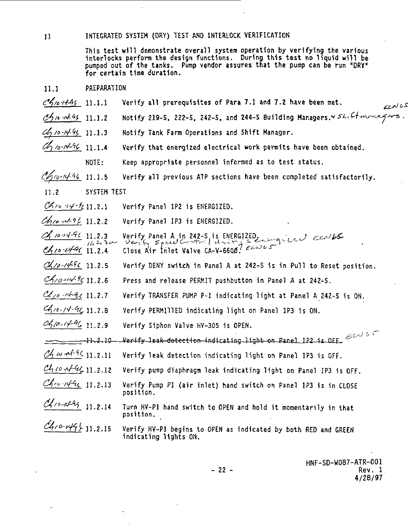## **11 INTEGRATED SYSTEM (DRY) TEST AND INTERLOCK VERIFICATION**

**This test will demonstrate overall system operation by verifying the various interlocks perform the design functions. During this test no liquid will be pumped out of the tanks. Pump vendor assures that the pump can be run "DRV" for certain time duration.**

- **11.1 PREPARATION**
- **t?4/o-ff-4f 11.1.1 Verify all prerequisites of Para 7.1 and 7.2 have been met.**
- **(?/>n •i4-<sup>c</sup>>f. n.1.2 Notify 219-S, 222-S, 242-S, and 244-S Building Managers.**
- **<s£)/o-/</-H 11.1.3 Notify Tank Farm Operations and Shift Manager.**
- **i /o-i</-<sup>c</sup>i(, n.i.4 Verify that energized electrical work permits have been obtained.**
	- **NOTE: Keep appropriate personnel informed as to test status.**
- **j/b-Kj-^i, n.1.5 Verify all previous ATP sections have been completed satisfactorily.**
- **11.2 SYSTEM TEST**
- $\mathcal{C}$ 10  $\forall$  - $\mathcal{C}$ 11.2.1 Verify Panel IP2 is ENERGIZED.
- **<sup>U</sup> 11.2.2 Verify Panel IP3 is ENERGIZED.**
- **11.2.3 Verify Panel A in 242-S, is ENERGIZED. ( r^-Jl?&-**  $\frac{1}{2}$  **c** close Air trilet Valve CA-V-6608<sup>7</sup>  $\epsilon$  cm  $\epsilon$  5
- 
- .<br>11 2 5 Verify DENY switch in Panel & at 242
- 11.2.5 Press and release PERMIT pushbutton in Panel A at 242-S.
- CLCo At CC 11.2.7 Verify TRANSFER PUMP P-1 indicating light at Panel A 242-S is ON.
- **12.14.4 IF 11.2.8** Verify PERMITTED indicating light on Panel 1P3 is ON.
- $\mathcal{O}_1/\rho$ - $\sqrt{4\%}$  11.2.9 Verify Siphon Valve HV-305 is OPEN.

 $\sim$  11.2.10 Verify lea<del>k detection in</del>dicating light on Panel IP2 is OFF,  $e^{\omega t}$ 

- $\mathcal{U}_1 \omega$   $\sim$  <sup>1-9</sup>(11.2.11 Verify leak detection indicating light on Panel IP3 is OFF.
- **n.2.12 Verify pump diaphragm leak indicating light on Panel IP3 is OFF.**
- **11.2.13 Verify Pump PI (air inlet) hand switch on Panel IP3 1s in CLOSE position.**
- **] i -Zil 4 Turn HV .<sup>P</sup> <sup>j</sup> hand switch t0 OPE N and hold it momentarily in that position.**
- **U.2.1 <sup>5</sup> Verify Hv.pj beg1ns t0 0PEN as jn(iicated by both RED and GREEN indicating lights ON.**

**HNF-SD-W087-ATR-001 - 22 - Rev. 1 4/28/97**

ی نمرے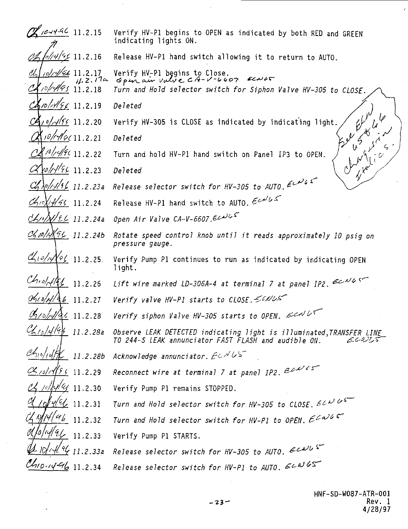| $\mathscr{X}$ 10-14-96 11.2.15          |                                                  | Verify HV-P1 begins to OPEN as indicated by both RED and GREEN<br>indicating lights ON.                                               |
|-----------------------------------------|--------------------------------------------------|---------------------------------------------------------------------------------------------------------------------------------------|
|                                         | / <u>/4/%</u> 11.2.16                            | Release HV-P1 hand switch allowing it to return to AUTO.                                                                              |
|                                         | $10/4/66$ 11.2.17<br>11.2.174<br>10/1995 11.2.18 | Verify HV-Pl begins to Close.<br>ECNAS<br>Open air value CA-V-6607<br>Turn and Hold selector switch for Siphon Valve HV-305 to CLOSE. |
| $\frac{\frac{1}{2}}{2}$ 11.2.19         |                                                  | Deleted                                                                                                                               |
|                                         | /0/ <i>/4/<u>55</u></i> 11.2.20                  | $e^{i\omega^{w}}$<br>45846<br>Verify HV-305 is CLOSE as indicated by indicating light.                                                |
|                                         | 10/14/9611.2.21                                  | $50^{\circ}$<br>Deleted                                                                                                               |
|                                         | 10/14/96 11.2.22                                 | changes d<br>Elen Ci<br>Turn and hold HV-P1 hand switch on Panel IP3 to OPEN.                                                         |
|                                         | ro/1496 11.2.23                                  | Deleted                                                                                                                               |
|                                         | 0/1/15/11.2.23a                                  | Release selector switch for HV-305 to AUTO, $\ell^{\nu\lambda}$                                                                       |
| $\alpha$ 10 x 14/44 11.2.24             |                                                  | Release HV-P1 hand switch to AUTO. $\epsilon \omega \omega \epsilon$                                                                  |
| Chipfle 11.2.24a                        |                                                  | Open Air Valve CA-V-6607.Ecalls                                                                                                       |
| Chpp 14 8 4 11.2.24b                    |                                                  | Rotate speed control knob until it reads approximately 10 psig on<br>pressure gauge.                                                  |
| Chiolistel 11.2.25                      |                                                  | Verify Pump P1 continues to run as indicated by indicating OPEN<br>light.                                                             |
| $Chol$ of $4/2$ 11.2.26                 |                                                  | Lift wire marked LD-306A-4 at terminal 7 at panel IP2. $\epsilon$ CNG                                                                 |
| $\frac{0.010}{10}$ $\frac{46}{11}.2.27$ |                                                  | Verify valve HV-P1 starts to CLOSE. 50NUS                                                                                             |
| Chrobular 11.2.28                       |                                                  | Verify siphon Valve HV-305 starts to OPEN. $\mathcal{E}$                                                                              |
| Ch <sub>10</sub> /14/94 11.2.28a        |                                                  | Observe LEAK DETECTED indicating light is illuminated, TRANSFER LINE<br>TO 244-S LEAK annunciator FAST FLASH and audible ON.<br>ECDIS |
| $\mathscr{A}_{10}/\sqrt{K}$ 11.2.28b    |                                                  | Acknowledge annunciator. $E\in NLS^-$                                                                                                 |
| $\alpha_{10}/\sqrt{5}$ 11.2.29          |                                                  | Reconnect wire at terminal 7 at panel IP2. $\mathcal{E}$                                                                              |
|                                         | 10/14/64 11.2.30                                 | Verify Pump P1 remains STOPPED.                                                                                                       |
|                                         | $\frac{d}{d}$ 11.2.31                            | Turn and Hold selector switch for HV-305 to CLOSE. $EC^{U}U^{S}$                                                                      |
|                                         | 14/46 11.2.32                                    | Turn and Hold selector switch for HV-P1 to OPEN. $E^{C\omega C}$                                                                      |
|                                         | $\frac{1}{4}$ 11.2.33                            | Verify Pump P1 STARTS.                                                                                                                |
|                                         | Н Ч 11.2.33a                                     | Release selector switch for HV-305 to AUTO. ECAUL                                                                                     |
| Ch10-1496 11.2.34                       |                                                  | Release selector switch for HV-P1 to AUTO. ELWGS                                                                                      |

l,

ý.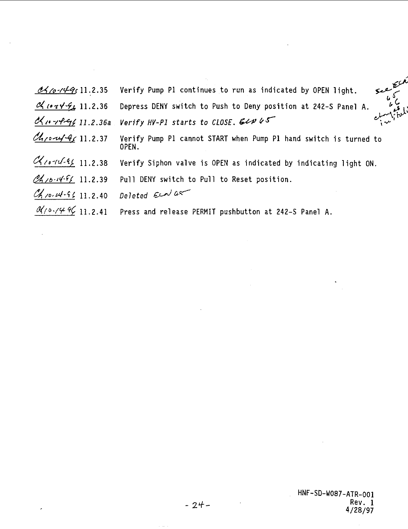|                            | $\mathcal{A}$ /0- $\gamma$ 4 $\gamma$ 11.2.35 Verify Pump P1 continues to run as indicated by OPEN light.                                                                                                    |
|----------------------------|--------------------------------------------------------------------------------------------------------------------------------------------------------------------------------------------------------------|
|                            | محصولہ<br>کارہ مار<br>کی اسلیم<br>$\frac{\partial \mathcal{L}_{\ell}(\sigma \gamma \mathcal{L}_{\ell})}{\partial \mathcal{L}_{\ell}}$ 11.2.36 Depress DENY switch to Push to Deny position at 242-S Panel A. |
|                            | <u>Unrelay</u> 11.2.36a Verify HV-PI starts to CLOSE. ELN 45                                                                                                                                                 |
|                            | Chromy Chromy 11.2.37 Verify Pump P1 cannot START when Pump P1 hand switch is turned to<br>OPEN.                                                                                                             |
| $410 - 11.2.38$            | Verify Siphon valve is OPEN as indicated by indicating light ON.                                                                                                                                             |
|                            | Ch10.14.96 11.2.39 Pull DENY switch to Pull to Reset position.                                                                                                                                               |
| $c_{h}$ 10- $4-96$ 11.2.40 | Deleted Eenlar                                                                                                                                                                                               |
|                            | $\mathcal{A}/\mathcal{O}\cdot\mathcal{O}\neq\mathcal{O}\left(11.2.41\right)$ Press and release PERMIT pushbutton at 242-S Panel A.                                                                           |

 $\bar{z}$ 

 $\hat{\phantom{a}}$ 

 $\hat{\boldsymbol{\beta}}$ 

 $\sim$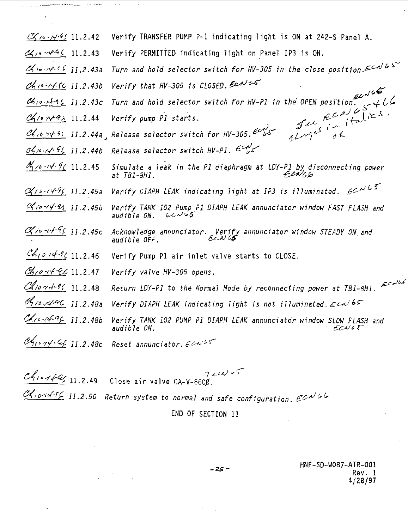| $C_1 \sim 14.41$ 11.2.42                        | Verify TRANSFER PUMP P-1 indicating light is ON at 242-S Panel A.                                                                                                                                                             |
|-------------------------------------------------|-------------------------------------------------------------------------------------------------------------------------------------------------------------------------------------------------------------------------------|
| 41.2.43                                         | Verify PERMITTED indicating light on Panel IP3 is ON.                                                                                                                                                                         |
| $C_1 \sim 10^{16}$ f 11.2.43a                   | Turn and hold selector switch for HV-305 in the close position. $\epsilon \sim 10^{-10}$                                                                                                                                      |
| $ch_1 - 14.6c$ 11.2.43b                         | Verify that HV-305 is CLOSED. Earl us                                                                                                                                                                                         |
|                                                 | Jurn and hold selector switch for HV-P1 in the OPEN position                                                                                                                                                                  |
|                                                 |                                                                                                                                                                                                                               |
|                                                 |                                                                                                                                                                                                                               |
|                                                 | Chowell put of the CAUCS of the CAUCS of the CAUCS of the CAUCS of the CAUCS of the CAUCS of the CAUCS of the CAUCS of the CAUCS of the CAUCS of the CAUCS of the CAUCS of the CAUCS of the CAUCS of the CAUCS of the CAUCS o |
| $\frac{\alpha_{1/0}^2 - \frac{1}{14}}{11.2.45}$ | Simulate a leak in the P1 diaphragm at LDY-P1 by disconnecting power<br>Fen <sub>16</sub><br>at TB1-8H1.                                                                                                                      |
| $\alpha_{16.1491}$ 11.2.45a                     | Verify DIAPH LEAK indicating light at IP3 is illuminated. $\mathcal{L}^{\mathcal{N} \mathcal{L}^{\mathcal{S}}}$                                                                                                               |
| $0410 - 42112.45b$                              | Verify TANK 102 Pump P1 DIAPH LEAK annunciator window FAST FLASH and<br>$ECN$ 65<br>audible ON.                                                                                                                               |
| $\alpha_{10} - 4 - 96$ 11.2.45c                 | Acknowledge annunciator. Verify annunciator window STEADY ON and<br>audible OFF<br>audible OFF.                                                                                                                               |
| $ch_{1014.9611.2.46$                            | Verify Pump P1 air inlet valve starts to CLOSE.                                                                                                                                                                               |
| Chro-14-EC 11.2.47                              | Verify valve HV-305 opens.                                                                                                                                                                                                    |
| Ch1074-96 11.2.48                               | Return LDY-P1 to the Normal Mode by reconnecting power at TB1-8H1. $\varepsilon^{c}$                                                                                                                                          |
| $\mathscr{A}_{1/6}$ refield 11.2.48a            | Verify DIAPH LEAK indicating light is not illuminated. $\epsilon \omega \delta$                                                                                                                                               |
| $40 - 1492 + 11.2.486$                          | Verify TANK 102 PUMP P1 DIAPH LEAK annunciator window SLOW FLASH and<br>audible ON.<br>ECNO 5                                                                                                                                 |
| $\mathcal{C}$ 1014-44 11.2.480                  | Reset annunciator. $\epsilon$ calls                                                                                                                                                                                           |

 $\zeta$  .  $\zeta$  ,  $2.2.2.7$  Close air valve  $C_A - \gamma = 0.000$ .  $\mathcal{C}_{10}$ - $4$ - $6$   $11.2.50$  Return system to normal and safe configuration.  $6$ CN  $6$ 

# END OF SECTION 11

 $-25 -$ 

HNF-SD-W087-ATR-001 Rev. 1 4/28/97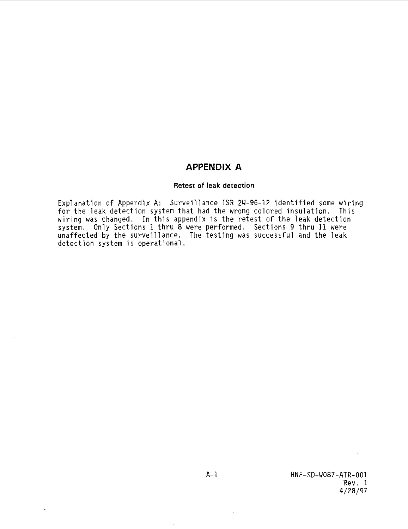# **APPENDIX A**

# Retest of leak detection

Explanation of Appendix A: Surveillance ISR 2W-96-12 identified some wiring<br>for the leak detection system that had the wrong colored insulation. This<br>wiring was changed. In this appendix is the retest of the leak detection

A-l HNF-SD-W087-ATR-001 Rev. 1 4/28/97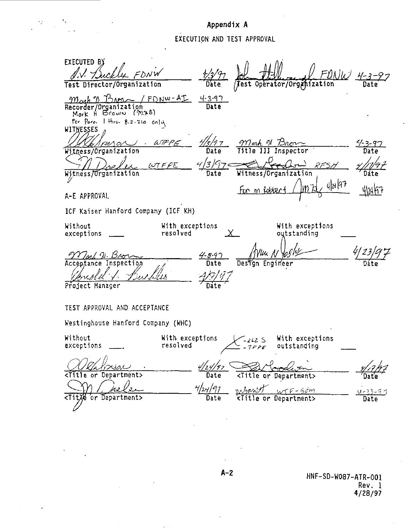# **Appendix A EXECUTION AND TEST APPROVAL**

 $\ddot{\phantom{1}}$ 

**EXECUTED** L-ML. J **Date /test Operator/Orggvization** נון גור **Test Director/Organization Date** Mash & Brown **/**  $4 - 3 - 97$ **Date** Recorder/Organization<br>Mark H Broww *(۱*۱ o. 1 thru. 8.2.21a cn}u **WITNESSES** 15/9 7  $\omega \pi \rho \epsilon$ Marh N Bre <u> 4 3 97</u> mna Witness/Organization **Date** Title III Inspector **Date**  $4/3/97<$  $LOTFFE$ RF SI Witness/Organization **Date Witness/Organization** Dáte  $4|1|47$ **W** 412457 For m Robbert A-E APPROVAL **ICF Kaiser Hanford Company (ICF KH) Without With exceptions With exceptions resolved**  $\times$ **outstanding exceptions** νш Mal N. Brow  $4 - 8 - 97$ **Acceptance Inspectia Date DesTgn Engineer** Dáte Ÿ **Project Manager** Date **TEST APPROVAL AND ACCEPTANCE Kestinghouse Hanford Company (WHC) Without With exceptions '-m S With exceptions exceptions resolved -7FPF outstanding** <u>Olahnsa</u> /24/97 **Date <Title or Department>**  $\sum_{i=1}^{n}$ 4/24/91 nigawith иэ ΄э  $wrF - 5cm$ <u>u-23-97</u> <Tit)<sup>6</sup> or Department> **Date <Title or Department>** Date

**HNF-SD-W087-ATR-001** Rev. 1 4/28/97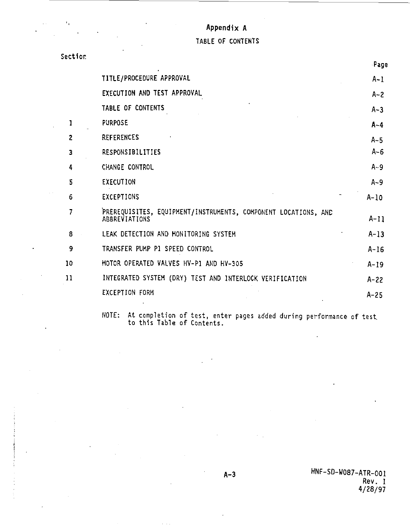# **Appendix A**

 $\sim$ 

 $\overline{a}$ 

 $\epsilon$ 

**TABLE OF CONTENTS**

| Section |                                                                                 |          |
|---------|---------------------------------------------------------------------------------|----------|
|         |                                                                                 | Fage     |
|         | TITLE/PROCEDURE APPROVAL                                                        | $A-1$    |
|         | EXECUTION AND TEST APPROVAL                                                     | $A - 2$  |
|         | TABLE OF CONTENTS                                                               | $A-3$    |
| 1       | PURPOSE                                                                         | A-4      |
| 2       | <b>REFERENCES</b>                                                               | $A - 5$  |
| 3       | RESPONSIBILITIES                                                                | $A - 6$  |
| 4       | CHANGE CONTROL                                                                  | $A - 9$  |
| 5       | <b>EXECUTION</b>                                                                | $A-9$    |
| 6       | EXCEPTIONS                                                                      | $A-10$   |
| 7       | PREREQUISITES, EQUIPMENT/INSTRUMENTS, COMPONENT LOCATIONS, AND<br>ABBREVIATIONS | $A-11$   |
| 8       | LEAK DETECTION AND MONITORING SYSTEM                                            | $A-13$   |
| 9       | TRANSFER PUMP P1 SPEED CONTROL                                                  | $A-16$   |
| 10      | MOTOR OPERATED VALVES HV-P1 AND HV-305                                          | $A-19$   |
| 11      | INTEGRATED SYSTEM (DRY) TEST AND INTERLOCK VERIFICATION                         | $A - 22$ |
|         | <b>EXCEPTION FORM</b>                                                           | $A - 25$ |
|         |                                                                                 |          |

**NOTE: At completion of test, enter pages added during performance of test to this Table of Contents.**

**« 3 HNF-SD-W087-ATR-001 <sup>A</sup> Rev. 1 4/28/97**

 $\mathbf{r}$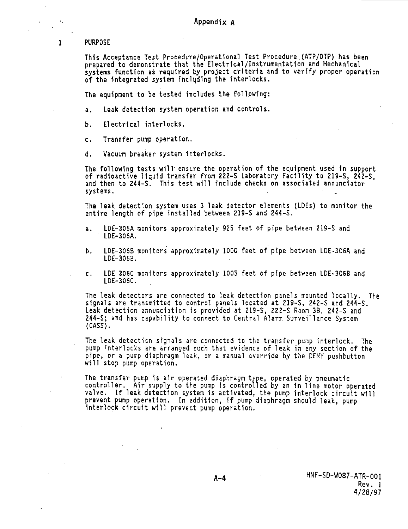**PURPOSE**

 $\,$  ,

 $\mathbf{1}$ 

**This Acceptance Test Procedure/Operational Test Procedure (ATP/OTP) has been prepared to demonstrate that the Electrical/Instrumentation and Mechanical systems function as required by project criteria and to verify proper operation of the integrated system including the interlocks.**

**The equipment to be tested includes the following:**

**a. Leak detection system operation and controls.**

**b. Electrical interlocks.**

**c. Transfer pump operation.**

**d. Vacuum breaker system Interlocks.**

**The following tests will- ensure the operation of the equipment used in support of radioactive liquid transfer from 222-S Laboratory Facility to 219-S, 242-S, and then to 244-S. This test will include checks on associated annunciator systems. • .**

**The leak detection system uses 3 leak detector elements (LDEs) to monitor the entire length of pipe installed between 219-S and 244-S.**

- **a. LDE-306A monitors approximately 925 feet of pipe between 219-S and LDE-306A.**
- **b. LDE-306B monitors approximately 1000 feet of pipe between LDE-306A and LDE-3068.**
- **c. LDE 306C monitors approximately 1005 feet of pipe between LDE-306B and LDE-306C.**

**The leak detectors are connected to leak detection panels mounted locally. The signals are transmitted to control panels located at 219-S, 242-S and 244-S. Leak detection annunciation is provided at 219-S, 222-S Room 38, 242-S and 244-S; and has capability to connect to Central Alarm Surveillance System (CASS).**

**The leak detection signals are connected to the transfer pump interlock. The pump interlocks are arranged such that evidence of leak in any section of the pipe, or a pump diaphragm leak, or a manual override by the DENY pushbutton will stop pump operation.**

**The transfer pump is air operated diaphragm type, operated by pneumatic controller. Air supply to the pump is controlled by an in line motor operated valve. If leak detection system is activated, the pump interlock circuit will prevent pump operation. In addition, 1f pump diaphragm should leak, pump interlock circuit will prevent pump operation.**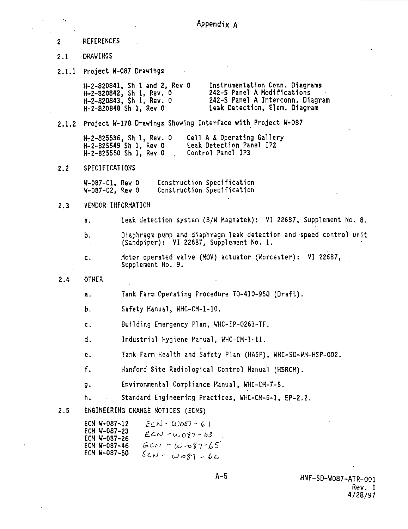- 2 REFERENCES
- **2.1 DRAWINGS**
- **2.1.1 Project W-087 Drawlhgs**

**H-2-820841, Sh 1 and 2, Rev 0 Instrumentation Conn. Diagrams** H-2-820842, Sh 1, Rev. 0<br>H-2-820843, Sh 1, Rev. 0 **H-2-820843, Sh 1, Rev. 0 242-S Panel A Interconn. Diagram** Leak Detection, Elem. Diagram

**2.1.2 Project K-178 Drawings Showing Interface with Project W-087**

**H-2-825536, Sh 1, Rev. 0 Cell A & Operating Gallery H-2-825549 Sh 1, Rev 0 Leak Detection Panel IP2 H-2-825550 Sh 1, Rev 0 . Control Panel IP3**

**2.2 SPECIFICATIONS**

**W-087-C1, Rev 0 Construction Specification** Construction Specification

**2.3 VENDOR INFORMATION**

**a. Leak detection system (B/H Magnatek): VI 22687, Supplement No. 8.**

**b. Diaphragm pump and diaphragm leak detection and speed control unit (Sandpiper): VI 22687, Supplement No. 1.**

- **c. Motor operated valve (MOV) actuator (Worcester): VI 22687, Supplement No. 9.**
- **2.4 OTHER**

a. Tank Farm Operating Procedure TO-410-950 (Draft).

b. Safety Manual, WHC-CM-1-10.

c. Building Emergency Plan, WHC-IP-O263-TF.

d. Industrial Hygiene Manual, WHC-CM-1-11.

e. Tank Farm Health and Safety Plan (HASP), WHC-SD-WM-HSP-002.

f. Hanford Site Radiological Control Manual (HSRCH).

g. Environmental Compliance Kanual, WHC-CH-7-5.

h. Standard Engineering Practices, WHC-CH-6-1, EP-2.2.

2.5 ENGINEERING CHANGE NOTICES (ECNS)

| ECN W-087-12 | $ECN - WOS7 - 61$     |
|--------------|-----------------------|
| ECN W-087-23 | $ECN - W087 - 63$     |
| ECN W-087-26 |                       |
| ECN W-087-46 | $ECN - W - 87 - 65$   |
| ECN W-087-50 | $ECN-$<br>$W087 - 66$ |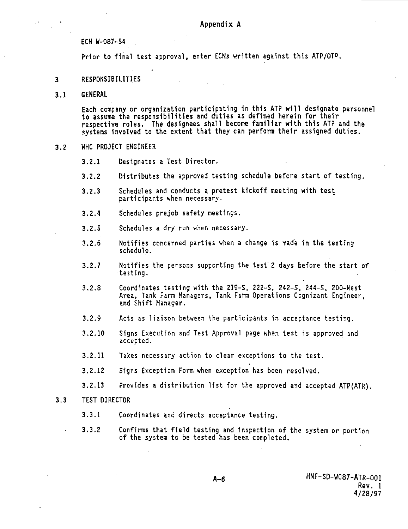ECN W-087-54

Prior to final test approval, enter ECNs written against this ATP/OTP.

- 3 RESPONSIBILITIES
- 3.1 GENERAL

Each company or organization participating in this ATP will designate personnel to assume the responsibilities and duties as defined herein for their respective roles. The designees shall become familiar with this ATP and the systems involved to the extent that they can perform their assigned duties.

3.2 WHC PROJECT ENGINEER

3.2.1 Designates a Test Director.

- 3.2.2 Distributes the approved testing schedule before start of testing.
- 3.2.3 Schedules and conducts a pretest kickoff meeting with test participants when necessary.
- 3.2.4 Schedules prejob safety meetings.
- 3.2.5 Schedules a dry run when necessary.
- 3.2.6 Notifies concerned parties when a change is made in the testing schedule.
- 3.2.7 Notifies the persons supporting the test 2 days before the start of testing.
- 3.2.S Coordinates testing with the 219-S, 222-S, 242-S, **244-S,** 200-West Area, Tank Farm Managers, Tank Farm Operations Cognizant Engineer, and Shift Manager.
- 3.2.9 Acts as liaison between the participants in acceptance testing.
- 3.2.10 Signs Execution and Test Approval page when test is approved and accepted.
- 3.2.11 Takes necessary action to clear exceptions to the test.
- 3.2.12 Signs Exception Forn when exception has been resolved.
- 3.2.13 Provides a distribution list for the approved and accepted ATP(ATR).
- 3.3 TEST DIRECTOR
	- 3.3.1 Coordinates and directs acceptance testing.
	- 3.3.2 Confirms that field testing and Inspection of the system or portion of the system to be tested has been completed.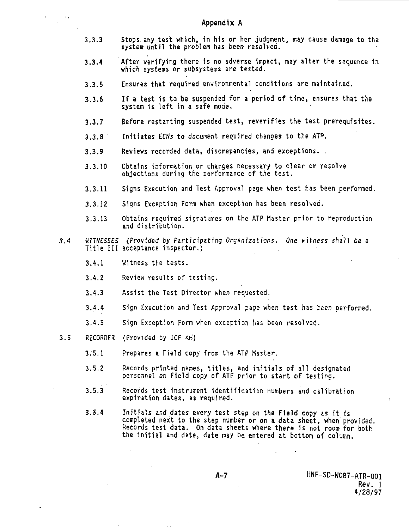- **3.3.3 Stops.any test which, in his or her judgment, may cause damage to the system until the problem has been resolved.**
- **3.3.4 After verifying there is no adverse impact, may alter the sequence in which systems or subsystems are tested.**
- **3.3.5 Ensures that required environmental conditions are maintained.**
- **3.3.6 If a test is to be suspended for a period of time, ensures that the system 1s left in a safe mode.**
- **3.3.7 Before restarting suspended test, reverifies the test prerequisites.**
- **3.3.8 Initiates ECNs to document required changes to the AT°.**
- **3.3.9 Reviews recorded data, discrepancies, and exceptions. .**
- **3.3.10 Obtains information or changes necessary to clear or resolve objections during the performance of the test.**
- **3.3.11 Signs Execution and Test Approval page when test has been performed.**
- **3.3.12 Signs Exception Form when exception has been resolved.**
- **3.3.13 Obtains required signatures on the ATP Master prior to reproduction and distribution.**
- **3.4 WITNESSES (Provided by Participating Organizations. One witness shall be a Title III acceptance inspector.)**
	- **3.4.1 Witness the tests.**
	- **3.4.2 Review results of testing.**
	- **3.4.3 Assist the Test Director when requested.**
	- **3.4.4 Sign Execution and Test Approval page when test has been performed.**
	- **3.4.5 Sign Exception Form when exception has been resolvec.**
- **3.5 RECORDER (Provided by ICF KH)**
	- **3.5.1 Prepares a Field copy from the ATP Master.**
	- **3.5.2 Records printed names, titles, and initials of all designated personnel on Field copy of ATP prior to start of testing.**
	- **3.5.3 Records test instrument identification numbers and calibration expiration dates, as required.**
	- **3.5.4 Initials and dates ewry test step on the Field copy as it is completed next to the step number or on a data sheet, when provided. Records test data. On data sheets where there is not room for both the initial and date, date may be entered at bottom of column.**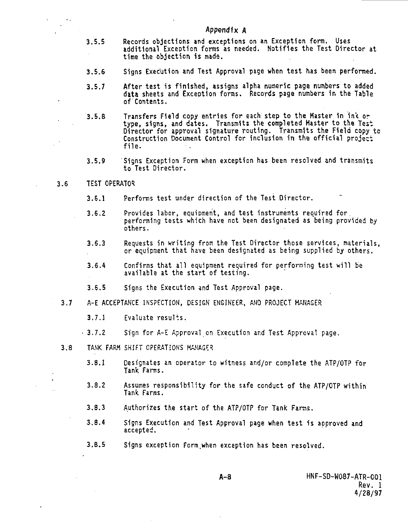## **Appendix A**

- **3.5.5 Records objections and exceptions on an Exception form. Uses additional Exception forms as needed. Notifies the Test Director at time the objection is made.**
- **3.5.6 Signs Execution and Test Approval page when test has been performed.**
- **3.5.7 After test is finished, assigns alpha numeric page numbers to added data sheets and Exception forms. Records page numbers in the Table of Contents.**
- **3.5.8 Transfers Field copy entries for each step to the Master 1n in< or type, signs, and dates. Transmits the completed Master to the Test Director for approval signature routing. Transmits the Field copy to Construction Document Control for inclusion in the official project file.**
- **3.5.9 Signs Exception Form when exception has been resolved and transmits to Test Director.**
- **3.6 TEST OPERATOR**

 $\epsilon_{\rm A}$ 

- **3.6.1 Performs test under direction of the Test Director.**
- **3.6.2 Provides labor, equipment, and test instruments required for. performing tests which have not been designated as being provided by others.**
- **3.6.3 Requests in writing from the Test Director those services, materials, or equipment that have been designated as being supplied by others.**
- **3.6.4 Confirms that all equipment required for performing test will be available at the start of testing.**
- **3.6.5 Signs the Execution and Test Approval page.**
- **3.7 A-E ACCEPTANCE INSPECTION, DESIGN ENGINEER, AND PROJECT MANAGE.<sup>1</sup>!**
	- **3.7.1 Evaluate results.**
	- **3.7.2 Sign for A-E Approval on Execution and Test Approval page.**
- **3.8 TANK FARM SHIFT OPERATIONS MANAGE<sup>1</sup>?**
	- **3.8.1 Designates an operator to witness and/or complete the ATP/OTP for Tank Farms.**
	- **3.8.2 Assumes responsibility for the safe conduct of the ATP/OTP within Tank Farms.**
	- **3.8.3 Authorizes the start of the ATP/OTP for Tank Farms.**
	- **3.8.4 Signs Execution and Test Approval page when test is approved and accepted,**
	- **3.8.5 Signs exception Form.when exception has been resolved.**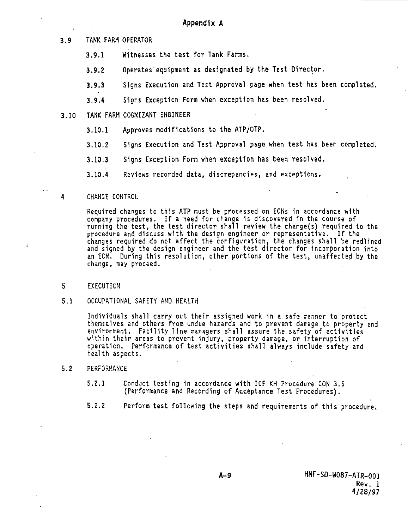3.9 TANK FARM OPERATOR

- 3.9.1 Witnesses the test for Tank Farms.
- 3.9.2 Operates'equipment as designated by the Test Director,
- 3.9.3 Signs Execution and Test Approval page when test has been completed.
- 3.9.4 Signs Exception Form when exception has been resolved.
- 3.10 TANK FARM COGNIZANT ENGINEER
	- 3.10.1 Approves modifications to the ATP/OTP.
	- 3.10.2 Signs Execution and Test Approval page when test has been completed.
	- 3.10.3 Signs Exception Form when exception has been resolved.
	- 3.10.4 Reviews recorded data, discrepancies, and exceptions.
- 4 CHANGE CONTROL

Required changes to this ATP must be processed on ECNs in accordance with company procedures. If a need for change 1s discovered in the course of running the test, the test director shall review the change(s) required to the procedure and discuss with the design engineer or representative. If the changes required do not affect the configuration, the changes shall be redlined and signed by the design engineer and the test director for Incorporation into an ECN. During this resolution, other portions of the test, unaffected by the change, may proceed.

5 EXECUTION

 $\cdot$ 

5.1 OCCUPATIONAL SAFETY AND HEALTH

Individuals shall carry out their assigned work in a safe manner to protect themselves and others from undue hazards and to prevent damage to property and environment. Facility line managers shall assure the safety of activities within their areas to prevent Injury, property damage, or interruption of operation. Performance of test activities shall always include safety and health aspects.

- 5.2 PERFORMANCE
	- 5.2.1 Conduct testing in accordance with ICF KH Procedure CON 3.5 (Performance and Recording of Acceptance Test Procedures).
	- 5.2.2 Perform test following the steps and requirements of this procedure.

A-9 HNF-SD-W087-ATR-001 Rev. 1 4/28/97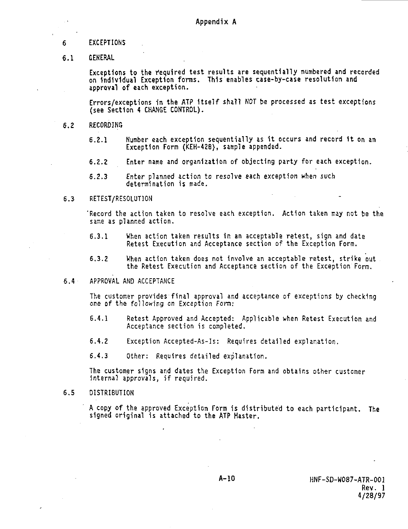## **6 EXCEPTIONS**

**6.1 GENERAL**

Exceptions to the required test results are sequentially numbered and recorded **on Individual Exception forms. This enables case-by-case resolution and approval of each exception.**

**Errors/exceptions 1n the ATP Itself shall NOT be processed as test exceptions (see Section 4 CHANGE CONTROL).**

- **6.2 RECORDING**
	- **6.2.1 Number each exception sequentially as it occurs and record 1t on an Exception Form (KEH-428), sample appended.**
	- **6.2.2 Enter name and organization of objecting party for each exception.**
	- **6.2.3 Enter planned action to resolve each exception when such determination is made.**

# **6.3 RETEST/RESOLUT1ON**

**'Record the action taken to resolve each exception. Action taken may not be the same as planned action.**

- **6.3.1 When action taken results in an acceptable retest, sign and date Retest Execution and Acceptance section of the Exception Form.**
- **6.3.2 When action taken does not involve an acceptable retest, strike out the Retest Execution and Acceptance section of the Exception Form.**
- **6.4 APPROVAL AND ACCEPTANCE**

**The customer provides final approval and acceptance of exceptions by checking one of the following on Exception Fora:**

- **6.4.1 Retest Approved and Accepted: Applicable when Retest Execution and Acceptance section is completed.**
- **6.4.2 Exception Accepted-As-Is: Requires detailed explanation.**
- **6.4.3 Other: Requires detailed explanation.**

**The customer signs and dates the Exception Form and obtains other customer internal approvals, if required.**

**6.5 DISTRIBUTION**

**A copy of the approved Exception Form is distributed to each participant. The signed original is attached to the ATP Haster.**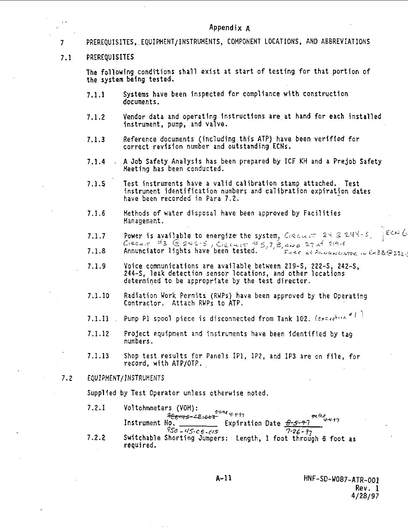Appendix A

7 PREREQUISITES,.EQUIPMENT/INSTRUMENTS, COMPONENT LOCATIONS, AND ABBREVIATIONS 7.1 PREREQUISITES The following conditions shall exist at start of testing for that portion of the system being tested. 7.1.1 Systems have been inspected for compliance with construction documents. 7.1.2 Vendor data and operating instructions are at hand for each installed instrument, pump, and valve. 7.1.3 Reference documents (including this ATP) have been verified for correct revision number and outstanding ECNs. 7.1.4 • A Oob Safety Analysis has been prepared by ICF KH and a Prejob Safety Meeting has been conducted. 7.1.5 Test instruments have a valid calibration stamp attached. Test instrument identification numbers and calibration expiration dates have been recorded in Para 7.2. 7.1.6 Methods of water disposal have been approved by Facilities  $E$ CN  $\ell$ Power is available to energize the system. Creament  $24 \otimes 244 - 5$  $7.7$  Power  $\frac{43}{5}$  C 242-5, Cizcuir  $45.7$  B app 27 at 219.5  $7.1.8$  Annualisation lights have been tested. Provided the complete  $\frac{1}{2}$  is  $\frac{1}{2}$ 7.1.9 Voice communications are available between 219-S, 222-S, 242-S, 2H-S , leak detection sensor locations, and other locations determined to be appropriate by the test director. 7.1.10 Radiation Work Permits (RWPs) have been approved by the Operating Contractor. Attach RWPs to ATP. 7.1.11 . Pump P1 spool piece is disconnected from Tank 102.  $(exc_{\ell}e^{\frac{1}{k} \cdot (x-\ell_{\ell})^*}$ 7.1.12 Project equipment and instruments have been identified by tag numbers. 7.1.13 Shop test results for Panels IP1, IP2, and IP3 are on file, for record, with ATP/OTP. 7.2 EQUIPMENT/INSTRUMENTS Supplied by Test Operator unless otherwise noted. 7.2.1 Voltohmmeters (VOM): **v** 968-45-68-68-8<sup>-79-4</sup> 4-4-97<br>Io. \_\_\_\_\_\_\_\_\_\_\_ Expiration Date <u>O-5-97</u><br>950 - 45-66-415 4 **9sa** - LIS- c e • as 7-2£ - ?y 7.2.2 Switchable Shorting Jumpers: Length, 1 foot through 6 foot as required.

Rev. 1 4/28/97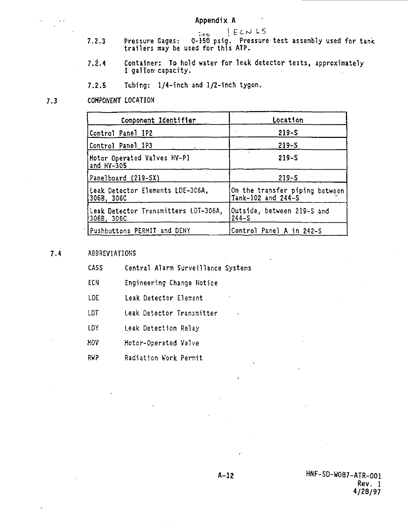**I**

- $2 6$ 7.2.3 Pressure Gages: 0-150 psig. Pressure test assembly used for tank trailers may be used for this ATP.
- 7.2.4 Container: To hold water for leak detector tests, approximately 1 gallon- capacity.
- 7.2.5 Tubing: 1/4-inch and l/2-1nch tygon.
- 7.3 COMPONENT LOCATION

| Component Identifier                                | Location                                             |  |  |
|-----------------------------------------------------|------------------------------------------------------|--|--|
| Control Panel IP2                                   | $219 - S$                                            |  |  |
| Control Panel IP3                                   | $219 - S$                                            |  |  |
| Motor Operated Valves HV-P1<br>and HY-305           | $219-S$                                              |  |  |
| Panelboard (219–SX)                                 | $219 - S$                                            |  |  |
| Leak Detector Elements LDE-306A,<br> 306B. 306C     | On the transfer piping between<br>Tank-102 and 244-S |  |  |
| Leak Detector Transmitters LDT-306A.<br> 306B, 306C | Outside, between 219-5 and<br>$244 - S$              |  |  |
| Pushbuttons PERMIT and DENY                         | Control Panel A in 242-S                             |  |  |

7.4 ABBREVIATIONS

- CASS Central Alarm Surveillance Systems
- ECN Engineering Change Notice
- LDE Leak Detector Element
- LDT Leak Detector Transmitter
- LDY Leak Detection Relay
- HOV Motor-Operated Valve
- RWP Radiation Work Permit

**A-12** HNF-SD-W087-ATR-001 Rev. 1 4/28/97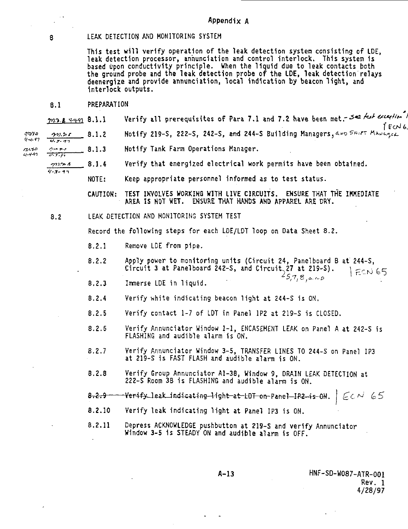8 LEAK DETECTION ANO MONITORING SYSTEM

This test will verify operation of the leak detection system consisting of LDE, leak detection processor, annunciation and control interlock. This system 1s based upon conductivity principle. When the liquid due to leak contacts both the ground probe and the leak detection probe of the LDE, leak detection relays deenergize and provide annunciation, local indication by beacon light, and Interlock outputs.

# B.I PREPARATION

**202.8** 4491 8.1.1 Verify all prerequisites of Para 7.1 and 7.2 have been met.-342 for exception

pm, br 8.1.2 Notify 219-S, 222-S, 242-S, and 244-S Building Managers, and Strift Manager

•?>»\*/• 8.1.3 Notify Tank Farm Operations Manager.  $7,100$  $0 - 4 - 47$ 

**2228** 8.1.4 Verify that energized electrical work permits have been obtained.

NOTE: Keep appropriate personnel informed as to test status.

CAUTION: TEST INVOLVES WORKINS WITH LIVE CIRCUITS. ENSURE THAT THE **IKKEDIATE** AREA IS NOT WET. ENSURE THAT HAHDS AND APPAREL ARE DRY.

8.2 LEAK DETECTION AND MONITORING SYSTEM TEST

Record the following steps for each LDE/LDT loop on Data Sheet 8.2.

- 8.2.1 Remove LDE from pipe.
- 8.2.2 Apply power to monitoring units (Circuit 24, Panelboard B at 244-S, Circuit 3 at Panelboard 242-S, and Circuit<sub>227</sub> at 219-S).  $\Big|$   $\frac{1}{5.7.8 \text{ km/s}}$
- 8.2.3 Immerse LDE in liquid.
- 8.2.4 Verify white indicating beacon light at 244-S is ON.
- 8.2.5 Verify contact 1-7 of LDT in Panel IP2 at 219-S is CLOSED.
- 8.2.6 Verify Annunciator Window 1-1, ENCASEMENT LEAK on Panel A at 242-S is FLASHING and audible alarm 1s ON.
- 8.2.7 Verify Annunciator Window 3-5, TRANSFER LINES TO 244-S on Panel IP3 at 219-S is FAST FLASH and audible alarm is ON.
- 8.2.8 Verify Group Annunciator AI-38, Window 9, DRAIN LEAK DETECTION at 222-S Room 3B is FLASHING and audible alarm is ON.
- $8.2.9 -$ <del>Yerify le</del>ak indicating—ligh<del>t at LOT on </del>Panel—IP2—is ON.  $ECN$  65
- 8.2.10 Verify leak indicating light at Panel IP3 is ON.
- 8.2.11 Depress ACKNOWLEDGE pushbutton at 219-S and verify Annunciator Window 3-5 is STEADY ON and audible alarm is OFF.

**A-13** HNF-SD-W087-ATR-001 Rev. 1 4/28/97

anna  $4 - 9 - 97$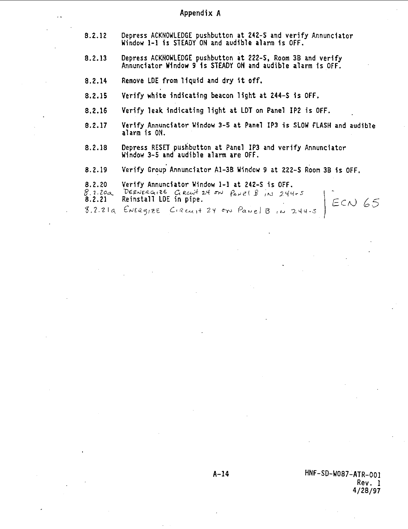# **Appendix A**

- **8.2.12 Depress ACKNOWLEDGE pushbutton at 242-S and verify Annunciator Window 1-1 Is STEADY ON and audible alarm 1s OFF.**
- **8.2.13 Depress ACKNOWLEDGE pushbutton at 222-S, Room 3B and verify Annunciator Window 9 is STEADY ON and audible alarm is OFF.**
- **8.2.14 Remove LDE from liquid and dry it off.**
- **8.2.15 Verify white indicating beacon light at 244-S Is OFF.**
- **8.2.16 Verify leak Indicating light at LDT on Panel IP2 is OFF.**
- **8.2.17 Verify Annunciator Window 3-5 at Panel IP3 is SLOW FLASH and audible alarm is ON.**
- **8.2.18 Depress RESET pushbutton at Panel IP3 and verify Annunciator Window 3-5 and audible alarm are OFF.**
- **8.2.19 Verify Group Annunciator A1-3B Window 9 at 222-S Room 3B 1s OFF.**
- 
- **8.2.20** Verify Annunciator Window 1-1 at 242-S is OFF.<br>8.2.200 Deenercates Creat 24 on Papel B in 244<br>**8.2.21** Reinstall LDE in pipe.  $\frac{1}{2}$ . 2.21 Reinstall LDE in pipe.
- $8.2.21a$  ENERGIZE CIRCULT 2Y on Panel B, N 244.5

 $ECN$  65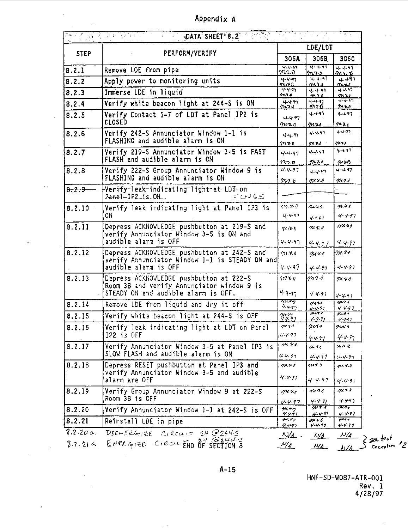| Appendix A |  |  |  |  |
|------------|--|--|--|--|
|------------|--|--|--|--|

 $\epsilon$ 

 $\sim$   $\sim$ 

ý

 $\overline{\phantom{a}}$ 

 $\cdot$ 

|                 | DATA SHEET 8.2 PART<br>10 - 100 - 100 - 100 - 100 - 100 - 100<br>100 - 100 - 100 - 100 - 100 - 100 - 100 - 100 - 100 - 100 - 100 - 100 - 100 - 100 - 100 - 100 - 100 - 100 - 1<br>$\alpha = 1$ , $\alpha$ | 医额内骨折 经人民票据表                                                 |                                     | * a .                                             |
|-----------------|-----------------------------------------------------------------------------------------------------------------------------------------------------------------------------------------------------------|--------------------------------------------------------------|-------------------------------------|---------------------------------------------------|
|                 |                                                                                                                                                                                                           | LDE/LDT                                                      |                                     |                                                   |
| <b>STEP</b>     | PERFORM/VERIFY                                                                                                                                                                                            | 306A                                                         | 306B                                | 306C                                              |
| 8.2.1           | Remove LDE from pipe                                                                                                                                                                                      | <del>าง 4</del> ฑ<br>หาร.ช                                   | सन्मग<br>$n_{10}$                   | $4 - 4 - 97$<br><u>ባላን ቆ</u>                      |
| 8.2.2           | Apply power to monitoring units                                                                                                                                                                           | $4 - 4 - 9$<br>グロウル                                          | भ-वन्ती<br>ጣላባ ያ                    | $4 - 497$<br>70.30                                |
| 8.2.3           | Immerse LDE in liquid                                                                                                                                                                                     | $4 - 4 - 5$<br>22.3.8                                        | $4 - 4 - 91$<br>79.7.0              | $4.4 - 47$<br>9111                                |
| 8.2.4           | Verify white beacon light at 244-S is ON                                                                                                                                                                  | $rac{4.497}{2000}$                                           | 4-4-97<br>ガトバ                       | $4 - 457$                                         |
| 8.2.5           | Verify Contact 1-7 of LDT at Panel IP2 is<br><b>CLOSED</b>                                                                                                                                                | 4.497<br>$m\gamma$ n                                         | $4 - 4 - 91$<br>m21                 | $7 - 20$<br>$4 - 497$<br>m x x                    |
| 8.2.6           | Verify 242-S Annunciator Window 1-1 is<br>FLASHING and audible alarm is ON                                                                                                                                | $4 - 4 - 9$<br>m n o                                         | $4 - 4.97$                          | $4 - 497$<br>$\pi x$                              |
| 8.2.7           | Verify 219-S Annunciator Window 3-5 is FAST<br>FLASH and audible alarm is ON                                                                                                                              | $4 - 4 - 97$                                                 | 97.2.1<br>4.4.47<br>$m$ io          | 4.411                                             |
| 8.2.8           | Verify 222-S Group Annunciator Window 9 is<br>FLASHING and audible alarm is ON                                                                                                                            | $\gamma_{\eta,\gamma,\eta}$<br>$4 - 4 - 97$                  | $4 - 4 - 97$                        | グメタウ<br>$4 - 17$                                  |
| 8.2.9           | Verify leak indicating light at LDT on<br>Panel-IP2_is.ON<br>ECNGS                                                                                                                                        | グリク・プ                                                        | 9x4.0                               | $14.9 - 6$                                        |
| 8.2.10          | Verify leak indicating light at Panel IP3 is                                                                                                                                                              | $\eta \eta . \eta . \eta$                                    | $7 - 77$                            | 71.41                                             |
|                 | ON                                                                                                                                                                                                        | $4 - 4 - 97$                                                 | 4441                                | $4 - 1 - 97$                                      |
| 8.2.11          | Depress ACKNOWLEDGE pushbutton at 219-S and<br>verify Annunciator Window 3-5 is ON and                                                                                                                    | $mN-1$                                                       | 74.3.0                              | へいり                                               |
|                 | audible alarm is OFF                                                                                                                                                                                      | $4 - 4 - 97$                                                 | $4 - 4 - 7)$                        | 4-4-97                                            |
| B.2.12          | Depress ACKNOWLEDGE pushbutton at 242–S and<br>verify Annunciator Window 1-1 is STEADY ON and<br>audible alarm is OFF                                                                                     | 91.3.0<br>4.4.97                                             | 0.444<br>$4 - 4 - 87$               | YA. 74<br>$4 - 4 - 97$                            |
| 8.2.13          | Depress ACKNOWLEDGE pushbutton at 222-S<br>Room 3B and verify Annunciator window 9 is                                                                                                                     | าทบอ                                                         | mr 1                                | $m$ vo                                            |
|                 | STEADY ON and audible alarm is OFF.                                                                                                                                                                       | $4.4 - 17$                                                   | $4 - 4 - 91$                        | $4 - 4.91$                                        |
| 8.2.14          | Remove LDE from liquid and dry it off                                                                                                                                                                     | クロ・マワ<br>44.97                                               | mar<br>$4 - 4 - 97$                 | 01.74<br>$4 - 4 - 97$                             |
| 8.2.15          | Verify white beacon light at 244-S is OFF                                                                                                                                                                 | $\frac{\gamma_{\mu},\gamma_{\nu}}{\gamma_{\nu}\gamma_{\nu}}$ | $\overline{M}$<br>$4 - 4 - 87$      | 71.44<br>$4 - 4 - 47$                             |
| 8.2.16          | Verify leak indicating light at LDT on Panel                                                                                                                                                              | max                                                          | $\gamma$ una                        | onni a                                            |
|                 | IP2 is OFF                                                                                                                                                                                                | $4 - 477$                                                    | 4497                                | 4-4-87                                            |
| 8.2.17          | Verify Annunciator Window 3-5 at Panel IP3 is<br>SLOW FLASH and audible alarm is ON                                                                                                                       | 74.44                                                        | 11.71                               | 4000                                              |
|                 |                                                                                                                                                                                                           | 4.4.97                                                       | $4 - 4.97$                          | $4 - 4 - 97$                                      |
| 8.2.18          | Depress RESET pushbutton at Panel IP3 and<br>verify Annunciator Window 3-5 and audible<br>alarm are OFF                                                                                                   | m x y<br>$4 - 4 - 97$                                        | $\boldsymbol{m}$ r. o<br>$4 - 4.47$ | $au \propto a$<br>$4 - 4 - 91$                    |
| 8.2.19          | Verify Group Annunciator Window 9 at 222–S<br>Room 3B is OFF                                                                                                                                              | 94.79                                                        | 4.4.5                               | $\overline{u}$                                    |
| 8.2.20          | Verify Annunciator Window 1-1 at 242-S is OFF                                                                                                                                                             | $4 - 4.97$<br>$\frac{74.77}{4.47}$                           | $4 - 4 - 91$<br>71.1                | 4.497<br>14.97                                    |
| 8.2.21          | Reinstall LDE in pipe                                                                                                                                                                                     | 74.77                                                        | $4 - 4 - 97$<br>on s                | 4.4.97<br>$\overline{\phantom{a}^{\ast\ast\ast}}$ |
| 8.2.200         | DEENERGIZE CIRCUIT 24 @2445                                                                                                                                                                               | 4.4.91<br>$\mathcal{N}/4$                                    | $4 - 4 - 17$<br>$\sqrt{4}$          | $4 - 4.99$<br>$\mathcal{N}/\mathcal{A}$           |
| $8.2.21$ $\sim$ | ENPLGIZE CIRCUIEND OF SECTION B                                                                                                                                                                           | $\mathcal{N}/\mathcal{A}$                                    | N/A                                 | $\Delta A$ $\Delta$ ordering                      |

HNF-SD-W087-ATR-001 Rev. 1 4/28/97

ح^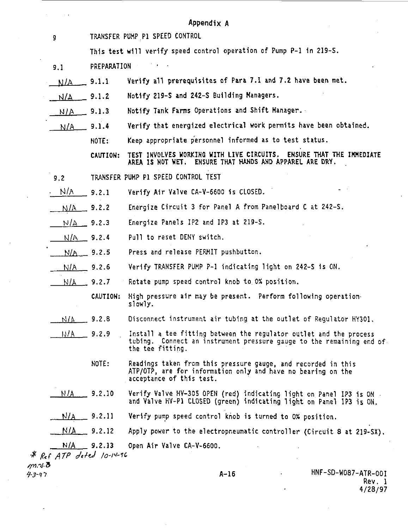|               |                                | Appendix A                                                                                                                                                     |  |
|---------------|--------------------------------|----------------------------------------------------------------------------------------------------------------------------------------------------------------|--|
| 9             | TRANSFER PUMP P1 SPEED CONTROL |                                                                                                                                                                |  |
|               |                                | This test will verify speed control operation of Pump P-1 in 219-S.                                                                                            |  |
| 9.1           | PREPARATION                    |                                                                                                                                                                |  |
| N/A           | 9.1.1                          | Verify all prerequisites of Para 7.1 and 7.2 have been met.                                                                                                    |  |
| N/A           | 9.1.2                          | Notify 219–S and 242–S Building Managers.                                                                                                                      |  |
| N/A           | 9.1.3                          | Notify Tank Farms Operations and Shift Manager.                                                                                                                |  |
| N/A           | 9.1.4                          | Verify that energized electrical work permits have been obtained.                                                                                              |  |
|               | <b>NOTE:</b>                   | Keep appropriate personnel informed as to test status.                                                                                                         |  |
|               | CAUTION:                       | TEST INVOLVES WORKING WITH LIVE CIRCUITS. ENSURE THAT THE IMMEDIATE<br>AREA IS NOT WET. ENSURE THAT HANDS AND APPAREL ARE DRY.                                 |  |
| 9.2           |                                | TRANSFER PUMP P1 SPEED CONTROL TEST                                                                                                                            |  |
| N/A           | 9.2.1                          | Verify Air Valve CA-V-6600 is CLOSED.                                                                                                                          |  |
| N/A           | 9.2.2                          | Energize Circuit 3 for Panel A from Panelboard C at 242-S.                                                                                                     |  |
| N/A           | 9.2.3                          | Energize Panels IP2 and IP3 at 219-5.                                                                                                                          |  |
| N/A           | 9.2.4                          | Pull to reset DENY switch.                                                                                                                                     |  |
| N/A.          | 9.2.5                          | Press and release PERMIT pushbutton.                                                                                                                           |  |
| $N/A = 9.2.6$ |                                | Verify TRANSFER PUMP P-1 indicating light on 242–S is ON.                                                                                                      |  |
| N/A           | 9.2.7                          | Rotate pump speed control knob to 0% position.                                                                                                                 |  |
|               | <b>CAUTION:</b>                | High pressure air may be present. Perform following operation<br>slowly.                                                                                       |  |
| N/A           | 9.2.8                          | Disconnect instrument air tubing at the outlet of Regulator HY301,                                                                                             |  |
| IJ/A          | 9.2.9                          | Install a tee fitting between the regulator outlet and the process<br>tubing. Connect an instrument pressure gauge to the remaining end of<br>the tee fitting. |  |
|               | NOTE:                          | Readings taken from this pressure gauge, and recorded in this<br>ATP/OTP, are for information only and have no bearing on the<br>acceptance of this test.      |  |
| N / A         | 9.2.10                         | Verify Valve HV-305 OPEN (red) indicating light on Panel IP3 is ON .<br>and Valve HV-P1 CLOSED (green) indicating light on Panel IP3 is ON.                    |  |
|               | $N/A$ 9.2.11                   | Verify pump speed control knob is turned to 0% position.                                                                                                       |  |
| N/A           | 9.2.12                         | Apply power to the electropneumatic controller (Circuit 8 at 219–SX).                                                                                          |  |
|               |                                |                                                                                                                                                                |  |

**Rev. 1 4/28/97**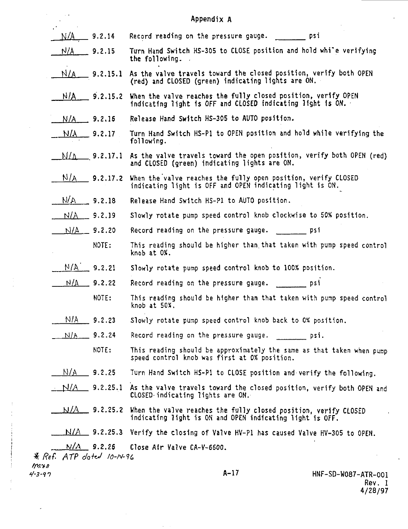|        |             |                           | Appendix A                                                                                                                  |                     |
|--------|-------------|---------------------------|-----------------------------------------------------------------------------------------------------------------------------|---------------------|
|        | <u>N/A</u>  | $-9.2.14$                 | Record reading on the pressure gauge. __________ psi                                                                        |                     |
|        | N/A         | 9.2.15                    | Turn Hand Switch HS-305 to CLOSE position and hold while verifying<br>the following.                                        |                     |
|        | N/A         | 9.2.15.1                  | As the valve travels toward the closed position, verify both OPEN<br>(red) and CLOSED (green) indicating lights are ON.     |                     |
|        | N/A         | 9.2.15.2                  | When the valve reaches the fully closed position, verify OPEN<br>indicating light is OFF and CLOSED indicating light is ON. |                     |
|        |             | $N/A$ 9.2.16              | Release Hand Switch HS-305 to AUTO position.                                                                                |                     |
|        | N/A         | $\_$ 9.2.17               | Turn Hand Switch HS-P1 to OPEN position and hold while verifying the<br>following.                                          |                     |
|        | N/A         | 9.2.17.1                  | As the valve travels toward the open position, verify both OPEN (red)<br>and CLOSED (green) indicating lights are ON.       |                     |
|        | N/a         | 9.2.17.2                  | When the valve reaches the fully open position, verify CLOSED<br>indicating light is OFF and OPEN indicating light is ON.   |                     |
|        | N/A         | 9.2.18                    | Release Hand Switch HS-P1 to AUTO position.                                                                                 |                     |
|        | N/A         | 9.2.19                    | Slowly rotate pump speed control knob clockwise to 50% position.                                                            |                     |
|        | N/A         | 9.2.20                    | Record reading on the pressure gauge.                                                                                       | psi psi             |
|        |             | NOTE :                    | This reading should be higher than that taken with pump speed control<br>knob at O%.                                        |                     |
|        |             | $N/A$ 9.2.21              | Slowly rotate pump speed control knob to 100% position.                                                                     |                     |
|        | $N/\Lambda$ | 9.2.22                    |                                                                                                                             |                     |
|        |             | NOTE:                     | This reading should be higher than that taken with pump speed control<br>knob at 50%.                                       |                     |
|        | NIA.        | 9.2.23                    | Slowly rotate pump speed control knob back to O% position.                                                                  |                     |
|        | N/N         | 9.2.24                    | Record reading on the pressure gauge. The psi.                                                                              |                     |
|        |             | NOTE:                     | This reading should be approximately the same as that taken when pump<br>speed control knob was first at 0% position.       |                     |
|        | N/A         | 9.2.25                    | Turn Hand Switch HS-P1 to CLOSE position and verify the following.                                                          |                     |
|        | N/A         | 9.2.25.1                  | As the valve travels toward the closed position, verify both OPEN and<br>CLOSED indicating lights are ON.                   |                     |
|        | N/A.        | 9.2.25.2                  | When the valve reaches the fully closed position, verify CLOSED<br>indicating light is ON and OPEN indicating light is OFF. |                     |
|        |             | $N/A = 9.2.25.3$          | Verify the closing of Valve HV-P1 has caused Valve HV-305 to OPEN.                                                          |                     |
|        |             | $N/A$ 9.2.25              | Close Air Valve CA-V-6600.                                                                                                  |                     |
| mro    |             | * Ref. ATP dated 10-14-96 |                                                                                                                             |                     |
| 4-3-97 |             |                           | A-17                                                                                                                        | HNF-SD-W087-ATR-001 |

 $\sim$   $\sim$ 

**Rev. 1 4/28/97**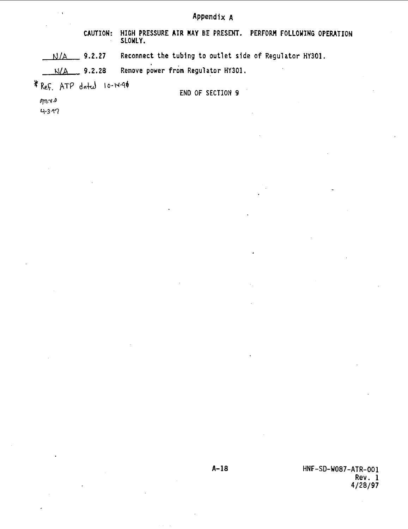# **Appendix A**

**CAUTION: HIGH PRESSURE AIR KAY BE PRESENT. PERFORM FOLLOWING OPERATION SLOWLY.**

**Kl/A 9.2.27 Reconnect the tubing to outlet side of Regulator HY3O1.**

**ki/A 9.2.28 Remove power from Regulator HY301.**

\* Ref. ATP dated 10-14-96

**END OF SECTION 9**

 $\rho_{\text{max}}$ 

 $4 - 3 - 97$ 

**A-18 HNF-SD-W087-ATR-001 Rev. 1 4/28/97**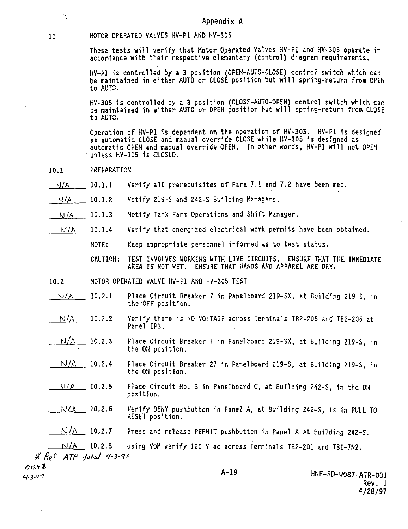### **Appendix A**

**10 H0T0R OPERATED VALVES HV-Pl AND HV-305**

**These tests will verify that Motor Operated Valves HV-Pl and HV-305 operate itaccordance with their respective elementary (control) diagram requirements.**

**HV-PI is controlled by a 3 position (OPEN-AUTO-CLOSE) control switch which car be maintained in either AUTO or CLOSE position but will spring-return from OPEN to AL'TS.**

**HV-305 Is controlled by a 3 position (CLOSE-AUTO-OPEN) control switch which car be maintained in either AUTO or OPEN position but will spring-return front CLOSE to AUTC.**

**Operation of HV-Pl is dependent on the operation of HV-305. HV-Pl is designed as automatic CLOSE and manual override CLOSE while HV-305 is designed as automatic OPEN and manual override OPEN. In other words, HV-Pl will not OPEN •unless HV-305 Is CLOSED.**

- **10.1 PREPARATION"**
- **10.1.1 Verify all prerequisites of Para 7.1 and 7.2 have been met.**  $N/A$
- **Notify 219-S and 242-S Building Managers. N/A** 10.1.2
- **Notify Tank Farm Operations and Shift Manager.** N/A\_\_\_ 10.1.3
- **Verify that energized electrical work permits have been obtained.** <u>n/a 10.1.4</u>

**Keep appropriate personnel informed as to test status.** NOTE:

**TEST INVOLVES KORKING WITH LIVE CIRCUITS. ENSURE THAT THE IKKEDIATE AREA IS NOT WET. ENSURE THAT HANDS AND APPAREL ARE DRY.** CAUTION

- **MOTOR OPERATED VALVE HV-Pl AND HV-305 TEST** MOTOR 0 10.2
- **Place Circuit Breaker 7 in Panelboard 219-SX, at Building 219-S, in the OFF position.** N/A 10.2.1
- Verify there 1s NO VOLTAGE across Terminals TB2-205 and TB2-206 at Panel IP3. N/A\_\_\_\_ 10.2.2
- Place Circuit Breaker 7 in Panelboard 219-SX, at Building 219-S, in the ON position. <u>N/A 10.2.3</u>
- Place Circuit Breaker 27 in Panelboard 219-S, at Building 219-S, in the ON position. **M/A** 10.2.4
- Place Circuit No. 3 in Panelboard C, at Building 242-S, 1n the ON position. <u>n/a 10.2.5</u>
- Verify DENY pushbutton in Panel A, at Building 242-S, is in PULL TO RESET position. M/A 10.2.6

Press and release PERMIT pushbutton in Panel A at Building 242-S. **M/A** 10.2.7

Using VOH verify 120 V ac across Terminals TB2-201 and TB1-7N2. ATP Joted 4-3-<mark>9</mark>6  $N/\Delta$ , 10.2.8

m.v.Z  $4 - 3.97$ 

 $H=1$ 

 HNF-SD-W087-ATR-001 Rev. 1 4/28/97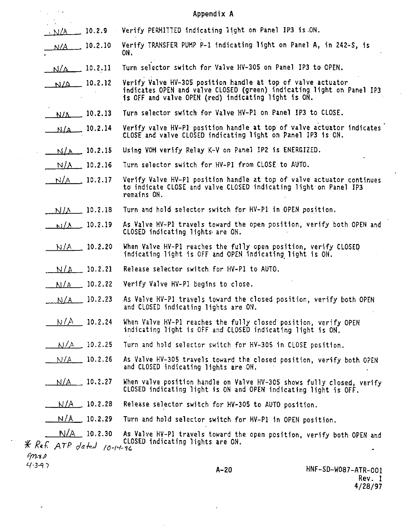| $\sim$ $\alpha$         |                       | Appendix A                                                                                                                                                                                   |
|-------------------------|-----------------------|----------------------------------------------------------------------------------------------------------------------------------------------------------------------------------------------|
| $\cdot$ N/A 10.2.9      |                       | . Verify PERMITTED indicating light on Panel IP3 is ON.                                                                                                                                      |
|                         | $N/A$ 10.2.10         | Verify TRANSFER PUMP P-1 indicating light on Panel A, in 242-S, is<br>ON.                                                                                                                    |
|                         | $N/A$ 10.2.11         | Turn selector switch for Valve HV-305 on Panel IP3 to OPEN.                                                                                                                                  |
|                         | $N/A$ 10.2.12         | Verify Valve HV-305 position handle at top of valve actuator<br>indicates OPEN and valve CLOSED (green) indicating light on Panel IP3<br>is OFF and valve OPEN (red) indicating light is ON. |
|                         | $N/L = 10.2.13$       | Turn selector switch for Valve HV-P1 on Panel IP3 to CLOSE.                                                                                                                                  |
|                         | $N/A$ 10.2.14         | Verify valve HV-P1 position handle at top of valve actuator indicates<br>CLOSE and valve CLOSED indicating light on Panel IP3 is ON.                                                         |
|                         | $N/A = 10.2.15$       | Using VOM verify Relay K-V on Panel IP2 is ENERGIZED.                                                                                                                                        |
|                         | $N/A = 10.2.16$       | Turn selector switch for HV-P1 from CLOSE to AUTO.                                                                                                                                           |
|                         | $N/A = 10.2.17$       | Verify Valve HV-P1 position handle at top of valve actuator continues<br>to indicate CLOSE and valve CLOSED indicating light on Panel IP3<br>remains ON.                                     |
|                         | $N/A$ 10.2.18         | Turn and hold selector switch for HV-P1 in OPEN position.                                                                                                                                    |
|                         | $\frac{N}{A}$ 10.2.19 | As Valve HV-P1 travels toward the open position, verify both OPEN and<br>CLOSED indicating lights are ON.                                                                                    |
|                         | N/A 10.2.20           | When Valve HV-P1 reaches the fully open position, verify CLOSED<br>indicating light is OFF and OPEN indicating light is ON.                                                                  |
|                         | $N/A = 10.2.21$       | Release selector switch for HV-P1 to AUTO.                                                                                                                                                   |
|                         | $\frac{N}{A}$ 10.2.22 | Verify Valve HV-P1 begins to close.                                                                                                                                                          |
|                         | $N/A = 10.2.23$       | As Valve HV-P1 travels toward the closed position, verify both OPEN<br>and CLOSED indicating lights are ON.                                                                                  |
|                         | $N/A$ 10.2.24         | When Valve HV-Pl reaches the fully closed position, verify OPEN<br>indicating light is OFF and CLOSED indicating light is ON.                                                                |
|                         | $N/A = 10.2.25$       | Turn and hold selector switch for HV-305 in CLOSE position.                                                                                                                                  |
|                         | $N/A = 10.2.26$       | As Valve HV-305 travels toward the closed position, verify both OPEN<br>and CLOSED indicating lights are ON.                                                                                 |
|                         | $N/A$ 10.2.27         | When valve position handle on Valve HV-305 shows fully closed, verify<br>CLOSED indicating light is ON and OPEN indicating light is OFF.                                                     |
|                         | $N/A = 10.2.28$       | Release selector switch for HV-305 to AUTO position.                                                                                                                                         |
| $N/A$ 10.2.29           |                       | Turn and hold selector switch for HV-P1 in OPEN position.                                                                                                                                    |
| $C \wedge T$ $D \cup T$ | $N/A$ 10.2.30         | As Valve HV-P1 travels toward the open position, verify both OPEN and<br>CLOSED indicating lights are ON.                                                                                    |

 $\mathcal{A}$ 

 $*$   $ReF$   $ATP$   $Jated$   $10$ -14-96  $9m + p$ <br>4.347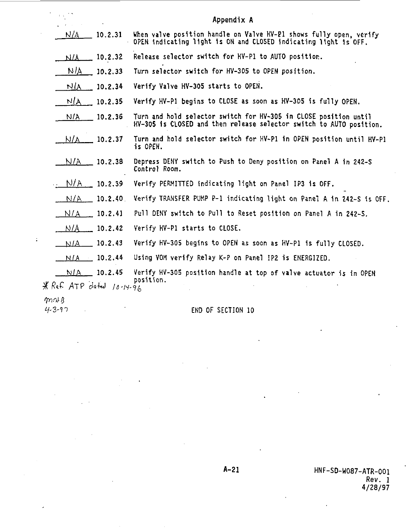|                         |                         | Appendix A                                                                                                                              |
|-------------------------|-------------------------|-----------------------------------------------------------------------------------------------------------------------------------------|
| N/A                     | 10.2.31                 | When yalve position handle on Valve HV-P1 shows fully open, verify<br>OPEN indicating light is ON and CLOSED indicating light is OFF.   |
| N/A                     | 10.2.32                 | Release selector switch for HV-P1 to AUTO position.                                                                                     |
| NIA.                    | 10.2.33                 | Turn selector switch for HV-305 to OPEN position.                                                                                       |
| NIA                     | 10.2.34                 | Verify Valve HV-305 starts to OPEN.                                                                                                     |
| N/A                     | 10.2.35                 | Verify HV-P1 begins to CLOSE as soon as HV-305 is fully OPEN.                                                                           |
| N/A                     | 10.2.36                 | Turn and hold selector switch for HV~305 in CLOSE position until<br>HV-305 is CLOSED and then release selector switch to AUTO position. |
| $N/\Lambda$             | 10.2.37                 | Turn and hold selector switch for HV-P1 in OPEN position until HV-P1<br>is OPEN.                                                        |
|                         | N/A 10.2.38             | Depress DENY switch to Push to Deny position on Panel A in 242-S<br>Control Room.                                                       |
|                         | $\frac{N/A}{N}$ 10.2.39 | Verify PERMITTED indicating light on Panel IP3 is OFF.                                                                                  |
| N/A                     | 10.2.40                 | Verify TRANSFER PUMP P-1 indicating light on Panel A in 242-S is OFF.                                                                   |
|                         | $N/A$ 10.2.41           | Pull DERY switch to Pull to Reset position on Panel A in 242-S.                                                                         |
| N/A                     | 10.2.42                 | Yerify HV-P1 starts to CLOSE.                                                                                                           |
|                         | $NIA$ 10.2.43           | Verify HV-305 begins to OPEN as soon as HV-P1 is fully CLOSED.                                                                          |
|                         | $N/A$ 10.2.44           | Using VOM verify Relay K-P on Panel IP2 is ENERGIZED.                                                                                   |
| Ref. ATP dated 10-14-96 | $N/A$ 10.2.45           | Verify HV-305 position handle at top of valve actuator is in OPEN<br>position.                                                          |

 $m \wedge g$ 

 $\ast$ 

 $\ddot{\phantom{a}}$ 

H-Z-11 ' END OF SECTION 10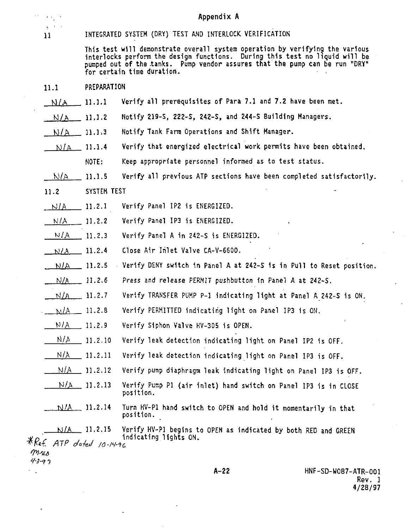## **Appendix A**

 $\sim$  $\sigma$  ,  $\sigma$  .

## **11 INTEGRATED SYSTEM (DRY) TEST AND INTERLOCK VERIFICATION**

**This test will demonstrate overall system operation by verifying the various Interlocks perform the design functions. During this test no liquid will be pumped out of the .tanks. Pump vendor assures that the pump can be run "DRY" for certain time duration.**

- **11.1 PREPARATION**
- **S)/A 11.1.1 Verify all prerequisites of Para 7.1 and 7.2 have been met.**
- **Notify 219-S, 222-S, 24Z-S, and 244-S Building Managers. N/A 11.1. 2**
- **Notify Tank Farm Operations and Shift Manager.** KJ/A **11.1. 3**
- **Verify that energized electrical work permits have been obtained. Keep appropriate personnel informed as to test status.** NJ/ft **11.1. 4 NOTE:**
- **Verify all previous ATP sections have been completed satisfactorily.** KJ/A **11.1. 5**
- **ST SYSTEM 11.2**
- **Verify Panel IP2 is ENERGIZED. SJ/A 11.2. 1**
- **Verify Panel IP3 is ENERGIZED. N/A 11.2. 2**
- **Verify Panel A in 242-S is ENERGIZED. N/A 11.2. 3**
- **Close Air Inlet Valve CA-V-6600. M/A 11.2. 4**
- **Verify DENY switch 1n Panel A at 242-S 1s in Pull to Reset position. N/A 11.2. 5**
- **Press 2nd release PERMIT pushbutton fn Panel A at 242-S. M/A 11.2. 6**
- **Verify TRANSFER PUMP P-l indicating light at Panel A 242-S is ON.** Kt/A **11.2. 7**
- **Verify PERMITTED Indicating light on Panel IP3 1s OH. WA 11.2. 8**
- **Verify Siphon Valve HV-305 is OPEN.**  $N/A$  11.2.9
- **Verify leak detection indicating light on Panel IP2 1s OFF.**  $N/\Lambda$ **11.2.1 0**
- **Verify leak detection indicating light on Panel IP3 is OFF.** N/A **11.2.1 1**
- **Verify pump diaphragm leak indicating light on Panel IP3 is OFF. Hi/A 11.2.1 2**
- **Verify Pump PI (air inlet) hand switch on Panel IP3 is in CLOSE position. N/A 11.2.1 3**
- **Turn HV-P1 hand switch to OPEN and hold it momentarily in that position. M/A 11.2.1 4**

**Verify HV-P1 begins to OPEN as indicated by both RED and GREEN** N/A **11.2.1 5" , indicating lights ON.**  $*$  Ref ATP dated 10-14-96  $m$ .u.o

 $4 - 3 - 97$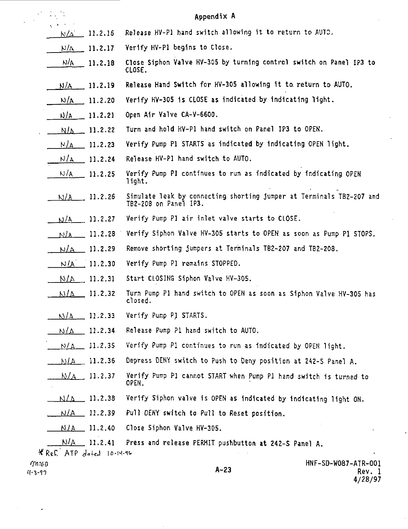|       | ħ,<br>×X,                 |                           | Appendix A                                                                                    |
|-------|---------------------------|---------------------------|-----------------------------------------------------------------------------------------------|
|       |                           | $N/\Delta = 11.2.16$      | Release HV-Pl hand switch allowing it to return to AUTO.                                      |
|       |                           | $N/\Lambda = 11.2.17$     | Verify HV-P1 begins to Close.                                                                 |
|       |                           | $N/\underline{A}$ 11.2.18 | Close Siphon Valve HV-305 by turning control switch on Panel IP3 to<br>CLOSE.                 |
|       |                           | $N/A$ 11.2.19             | Release Hand Switch for HV-305 allowing it to return to AUTO.                                 |
|       |                           | $N/A$ 11.2.20             | Verify HV-305 is CLOSE as indicated by indicating light.                                      |
|       |                           | $N/A = 11.2.21$           | Open Air Valve CA-V-6600.                                                                     |
|       |                           | $N/\Delta = 11.2.22$      | Turn and hold HV-P1 hand switch on Panel IP3 to OPEN.                                         |
|       |                           | $N/A$ 11.2.23             | Verify Pump P1 STARTS as indicated by indicating OPEN light.                                  |
|       |                           | $N/A$ 11.2.24             | Release HV-P1 hand switch to AUTO.                                                            |
|       |                           | $\frac{N}{A}$ 11.2.25     | Verify Pump PI continues to run as indicated by indicating OPEN<br>light.                     |
|       |                           | $N/A$ 11.2.26             | Simulate leak by connecting shorting jumper at Terminals TB2-207 and<br>TB2-208 on Panel IP3. |
|       | N/A                       | 11.2.27                   | Verify Pump P1 air inlet valve starts to CLOSE.                                               |
|       |                           | $N/A$ 11.2.28             | Verify Siphon Valve HV-305 starts to OPEN as soon as Pump P1 STOPS.                           |
|       |                           | $N/A = 11.2.29$           | Remove shorting jumpers at Terminals TB2-207 and TB2-208.                                     |
|       |                           | $N/A$ 11.2.30             | Verify Pump P1 remains STOPPED.                                                               |
|       |                           | $N/A$ 11.2.31             | Start CLOSING Siphon Valve HV-305.                                                            |
|       |                           | $N/\Delta = 11.2.32$      | Turn Pump P1 hand switch to OPEN as soon as Siphon Valve HV-305 has<br>closed.                |
|       |                           | $N/\Lambda = 11.2.33$     | Verify Pump P1 STARTS.                                                                        |
|       |                           | $N/\Delta = 11.2.34$      | Release Pump Pl hand switch to AUTO.                                                          |
|       |                           | $N/A = 11.2.35$           | Verify Pump P1 continues to run as indicated by OPEN light.                                   |
|       |                           | $M_A = 11.2.36$           | Depress DENY switch to Push to Deny position at 242-S Panel A.                                |
|       |                           | $_{\rm M/A}$ 11.2.37      | Verify Pump P1 cannot START when Pump P1 hand switch is turned to<br>OPEN.                    |
|       |                           | $N/L$ 11.2.38             | Verify Siphon valve is OPEN as indicated by indicating light ON.                              |
|       |                           | $N/A$ 11.2.39             | Pull DENY switch to Pull to Reset position.                                                   |
|       |                           | $N/A$ 11.2.40             | Close Siphon Valve HV-305.                                                                    |
|       |                           | $N/A$ 11.2.41             | Press and release PERMIT pushbutton at 242-5 Panel A.                                         |
| mvo o | * Ref. ATP dafed 10.14-96 |                           | HNF-SD-W087-ATR-001                                                                           |
|       |                           |                           | $\sim$                                                                                        |

J.

**i|-Mi A-23** Rev. l  $Rev. 1$ <br> $4/28/97$  l,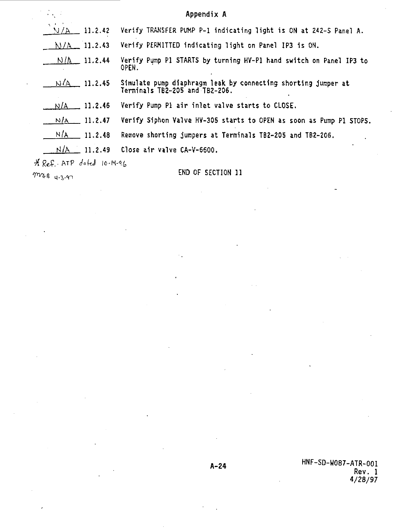|                           | Appendix A                                                                                      |
|---------------------------|-------------------------------------------------------------------------------------------------|
| And A<br>11.2.42<br>N/A-  | Verify TRANSFER PUMP P-1 indicating light is ON at 242-S Panel A.                               |
| $N/A = 11.2.43$           | Verify PERMITTED indicating light on Panel IP3 is ON.                                           |
| $N/\Delta$ 11.2.44        | Verify Pump P1 STARTS by turning HY-P1 hand switch on Panel IP3 to<br>OPEN.                     |
| $N(A \t11.2.45)$          | Simulate pump diaphragm leak by connecting shorting jumper at<br>Terminals TB2–205 and TB2–206. |
| $N/A = 11.2.46$           | Verify Pump P1 air inlet valve starts to CLOSE.                                                 |
| $N/\Lambda$ 11.2.47       | Verify Siphon Valve HV-305 starts to OPEN as soon as Pump Pl STOPS.                             |
| $N/A$ 11.2.48             | Remove shorting jumpers at Terminals TB2-205 and TB2-206.                                       |
| $N/A$ 11.2.49             | Close air valve CA-V-6600.                                                                      |
| * Ref. ATP dofed 10-14-96 |                                                                                                 |
| ການ ຄ.                    | END OF SECTION 11                                                                               |

 $m$ 48 4-3-97

.<sup>2</sup> <sup>4</sup> HNF-SD-W087-ATR-001 **Rev. 1 4/28/97**

 $\overline{a}$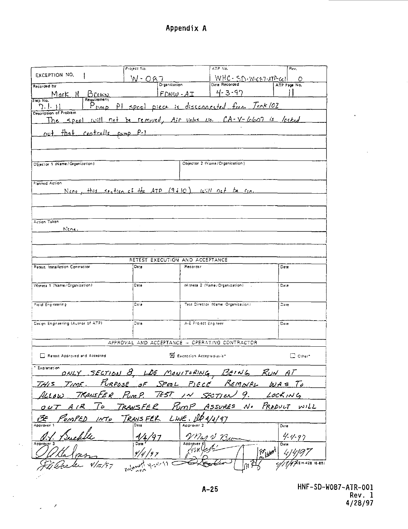Appendix A

|                                                       |                                                        |                                 | ATP NO.                            | Rev.                 |
|-------------------------------------------------------|--------------------------------------------------------|---------------------------------|------------------------------------|----------------------|
| EXCEPTION NO.                                         | W – OA                                                 |                                 | $WHC - SD-W-C-7-ATD-C$             | O                    |
| Recorded by                                           |                                                        | Organization                    |                                    | ATP Page No.         |
| Brown<br>Mark                                         |                                                        | $FDW - AT$                      | 4-3-97                             |                      |
| Requirement<br>TED NO.<br>וו וור                      | PI speel piece is disconnected from Tork 102           |                                 |                                    |                      |
| LMD.<br>Description of Problem                        |                                                        |                                 |                                    |                      |
| S <sub>pec</sub><br>The                               | will not be removed, Air volve No. CA-V-6607 is locked |                                 |                                    |                      |
|                                                       |                                                        |                                 |                                    |                      |
| Centralis pump P-1<br>$f$ hat<br>nut.                 |                                                        |                                 |                                    |                      |
|                                                       |                                                        |                                 |                                    |                      |
|                                                       |                                                        |                                 |                                    |                      |
| Objector 1 (Name/Organization)                        |                                                        |                                 | Objector 2 (Name/Organization)     |                      |
|                                                       |                                                        |                                 |                                    |                      |
|                                                       |                                                        |                                 |                                    |                      |
| Planned Action                                        |                                                        |                                 |                                    |                      |
| Nene, this section of the ATP (9410) will not be read |                                                        |                                 |                                    |                      |
|                                                       |                                                        |                                 |                                    |                      |
|                                                       |                                                        |                                 |                                    |                      |
| Action Taken                                          |                                                        |                                 |                                    |                      |
| Nene.                                                 |                                                        |                                 |                                    |                      |
|                                                       |                                                        |                                 |                                    |                      |
|                                                       |                                                        |                                 |                                    |                      |
|                                                       |                                                        |                                 |                                    |                      |
|                                                       |                                                        |                                 |                                    |                      |
|                                                       |                                                        | RETEST EXECUTION AND ACCEPTANCE |                                    |                      |
| <b>Retest Installation Contractor</b>                 | Data                                                   | Recorder                        |                                    | Dete                 |
|                                                       |                                                        |                                 |                                    |                      |
| Witness 1 (Name/Organization)                         | Date                                                   |                                 | Witness 2 (Name/Organization)      | Date                 |
|                                                       |                                                        |                                 |                                    |                      |
|                                                       |                                                        |                                 |                                    |                      |
| Field Engineering                                     | $\overline{C}$ is the                                  |                                 | Test Director (Name: Organization) | Date                 |
|                                                       |                                                        |                                 |                                    |                      |
| Design Engineering (Author of ATP)                    | Date                                                   | A-E Project Engineer            |                                    | Date                 |
|                                                       |                                                        |                                 |                                    |                      |
|                                                       | APPROVAL AND ACCEPTANCE - OPERATING CONTRACTOR         |                                 |                                    |                      |
|                                                       |                                                        |                                 |                                    |                      |
| Retest Approved and Accepted                          |                                                        | Exception Accepted-as-is"       |                                    | $\Box$ Other*        |
| * Explanation                                         |                                                        |                                 |                                    |                      |
|                                                       | SECTION 8, LOC MONITORING, BEING RUN AT                |                                 |                                    |                      |
| TIME.<br>THI S                                        | PURPOSE OF SPOOL PIECE REMOVAL WAS TO                  |                                 |                                    |                      |
| TRANSFER PUMP.<br>4ccow                               | 765T                                                   | IN SECTION                      |                                    | 9. $LockING$         |
|                                                       |                                                        |                                 |                                    |                      |
| 1 R<br>10                                             | TRANSFER                                               | rum P                           | Assures<br>$\mathcal{N}$ .         | PRODUCT WILL         |
| INT o                                                 | TRANS FER                                              | $LWE.$ $\Delta P4/1$            | 97                                 |                      |
|                                                       | Dete                                                   | Approver 2                      |                                    | Date                 |
|                                                       |                                                        |                                 |                                    | 4.4.97               |
| Approv                                                |                                                        | VMar V 73                       |                                    | Date                 |
|                                                       |                                                        |                                 |                                    | for <sub>th</sub> ed |
|                                                       |                                                        |                                 |                                    |                      |

 $\mathcal{L}^{\mathcal{L}}$ 

 $\sim$   $\prime$  $\bar{\mathcal{L}}$ 

 $\ddot{\phantom{a}}$